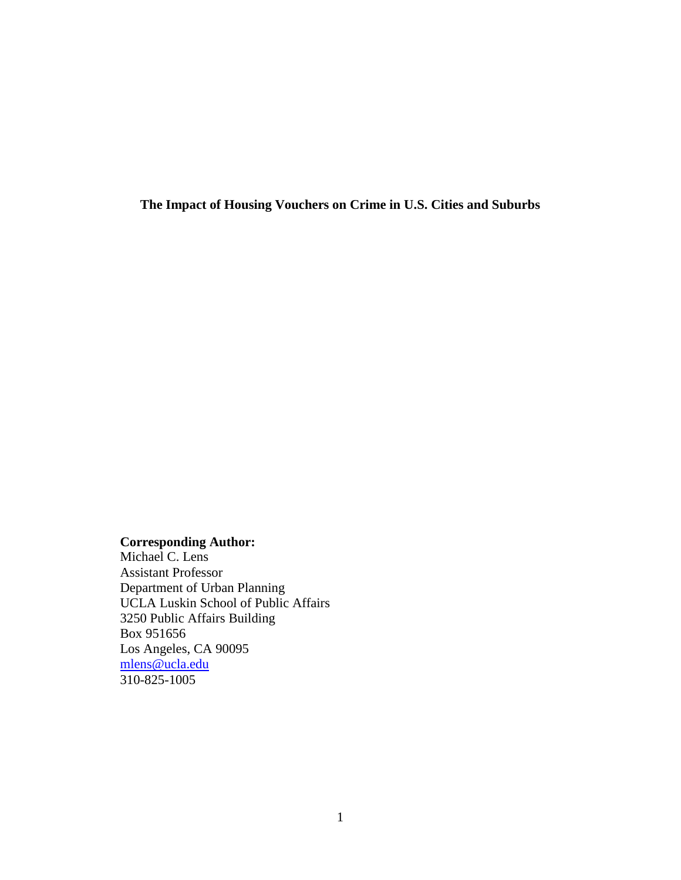**The Impact of Housing Vouchers on Crime in U.S. Cities and Suburbs**

# **Corresponding Author:**

Michael C. Lens Assistant Professor Department of Urban Planning UCLA Luskin School of Public Affairs 3250 Public Affairs Building Box 951656 Los Angeles, CA 90095 [mlens@ucla.edu](mailto:mlens@ucla.edu) 310-825-1005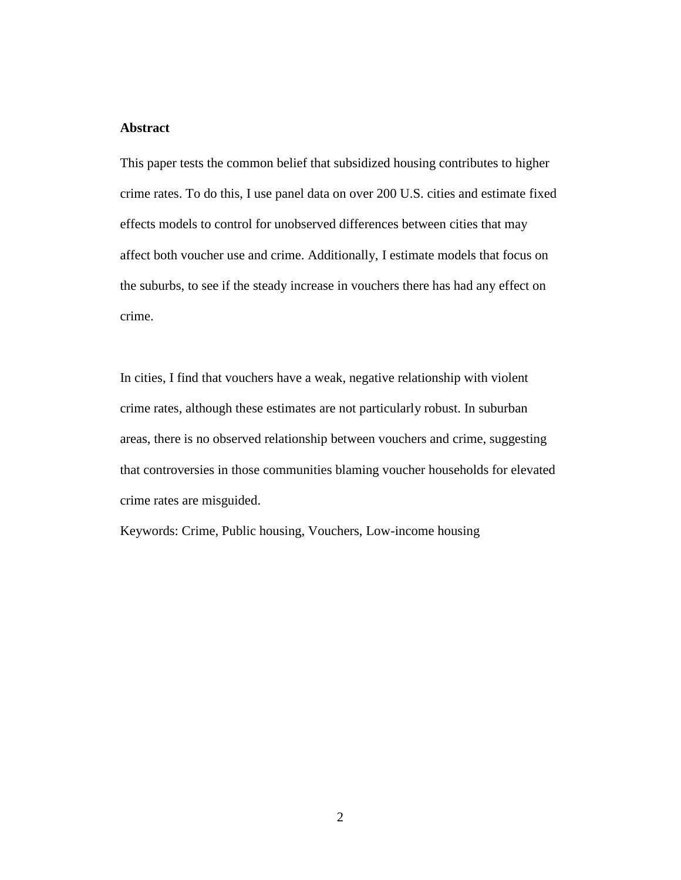# **Abstract**

This paper tests the common belief that subsidized housing contributes to higher crime rates. To do this, I use panel data on over 200 U.S. cities and estimate fixed effects models to control for unobserved differences between cities that may affect both voucher use and crime. Additionally, I estimate models that focus on the suburbs, to see if the steady increase in vouchers there has had any effect on crime.

In cities, I find that vouchers have a weak, negative relationship with violent crime rates, although these estimates are not particularly robust. In suburban areas, there is no observed relationship between vouchers and crime, suggesting that controversies in those communities blaming voucher households for elevated crime rates are misguided.

Keywords: Crime, Public housing, Vouchers, Low-income housing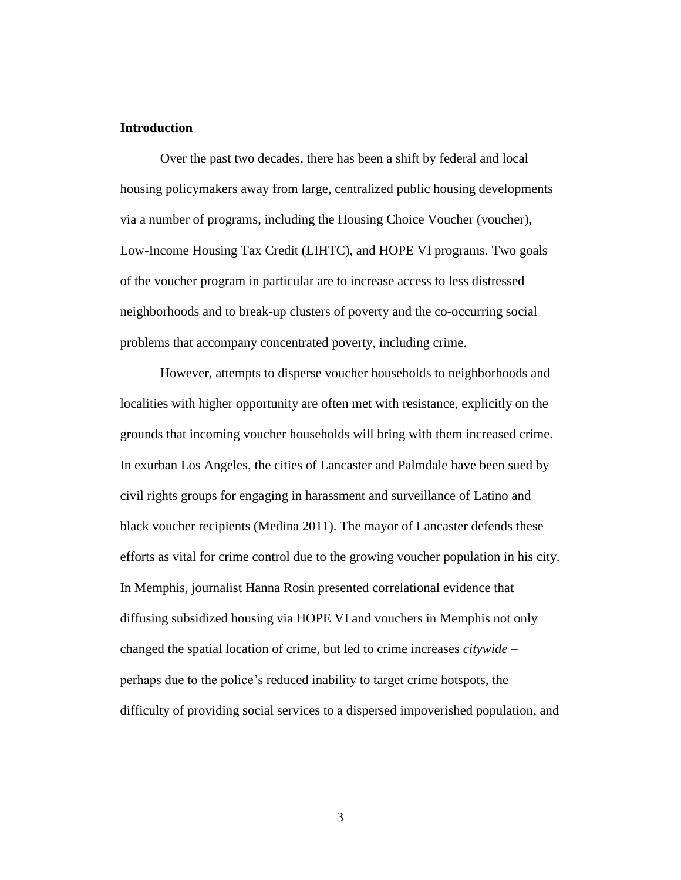# **Introduction**

Over the past two decades, there has been a shift by federal and local housing policymakers away from large, centralized public housing developments via a number of programs, including the Housing Choice Voucher (voucher), Low-Income Housing Tax Credit (LIHTC), and HOPE VI programs. Two goals of the voucher program in particular are to increase access to less distressed neighborhoods and to break-up clusters of poverty and the co-occurring social problems that accompany concentrated poverty, including crime.

However, attempts to disperse voucher households to neighborhoods and localities with higher opportunity are often met with resistance, explicitly on the grounds that incoming voucher households will bring with them increased crime. In exurban Los Angeles, the cities of Lancaster and Palmdale have been sued by civil rights groups for engaging in harassment and surveillance of Latino and black voucher recipients (Medina 2011). The mayor of Lancaster defends these efforts as vital for crime control due to the growing voucher population in his city. In Memphis, journalist Hanna Rosin presented correlational evidence that diffusing subsidized housing via HOPE VI and vouchers in Memphis not only changed the spatial location of crime, but led to crime increases *citywide* – perhaps due to the police's reduced inability to target crime hotspots, the difficulty of providing social services to a dispersed impoverished population, and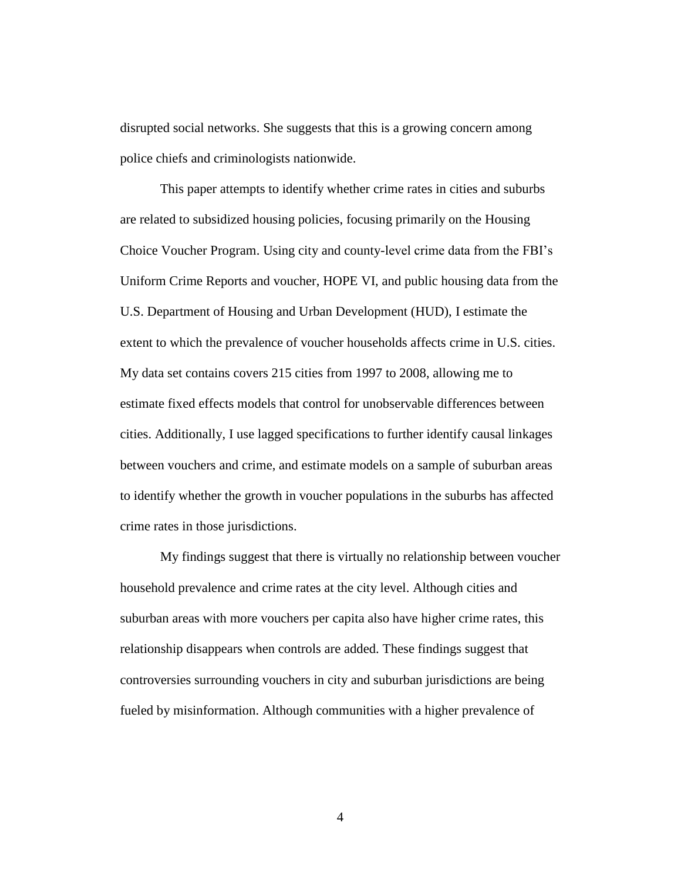disrupted social networks. She suggests that this is a growing concern among police chiefs and criminologists nationwide.

This paper attempts to identify whether crime rates in cities and suburbs are related to subsidized housing policies, focusing primarily on the Housing Choice Voucher Program. Using city and county-level crime data from the FBI's Uniform Crime Reports and voucher, HOPE VI, and public housing data from the U.S. Department of Housing and Urban Development (HUD), I estimate the extent to which the prevalence of voucher households affects crime in U.S. cities. My data set contains covers 215 cities from 1997 to 2008, allowing me to estimate fixed effects models that control for unobservable differences between cities. Additionally, I use lagged specifications to further identify causal linkages between vouchers and crime, and estimate models on a sample of suburban areas to identify whether the growth in voucher populations in the suburbs has affected crime rates in those jurisdictions.

My findings suggest that there is virtually no relationship between voucher household prevalence and crime rates at the city level. Although cities and suburban areas with more vouchers per capita also have higher crime rates, this relationship disappears when controls are added. These findings suggest that controversies surrounding vouchers in city and suburban jurisdictions are being fueled by misinformation. Although communities with a higher prevalence of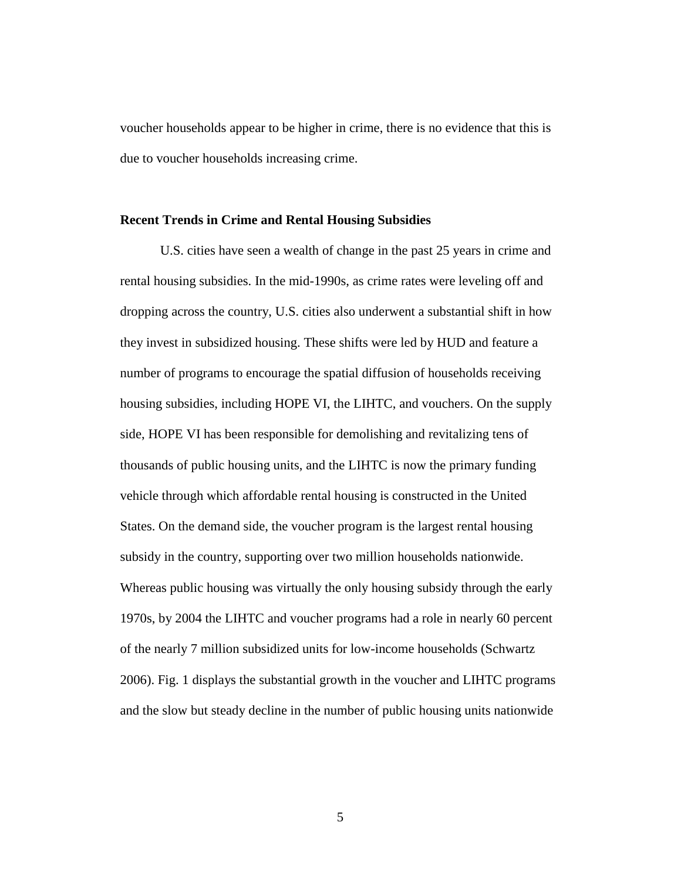voucher households appear to be higher in crime, there is no evidence that this is due to voucher households increasing crime.

#### **Recent Trends in Crime and Rental Housing Subsidies**

U.S. cities have seen a wealth of change in the past 25 years in crime and rental housing subsidies. In the mid-1990s, as crime rates were leveling off and dropping across the country, U.S. cities also underwent a substantial shift in how they invest in subsidized housing. These shifts were led by HUD and feature a number of programs to encourage the spatial diffusion of households receiving housing subsidies, including HOPE VI, the LIHTC, and vouchers. On the supply side, HOPE VI has been responsible for demolishing and revitalizing tens of thousands of public housing units, and the LIHTC is now the primary funding vehicle through which affordable rental housing is constructed in the United States. On the demand side, the voucher program is the largest rental housing subsidy in the country, supporting over two million households nationwide. Whereas public housing was virtually the only housing subsidy through the early 1970s, by 2004 the LIHTC and voucher programs had a role in nearly 60 percent of the nearly 7 million subsidized units for low-income households (Schwartz 2006). Fig. 1 displays the substantial growth in the voucher and LIHTC programs and the slow but steady decline in the number of public housing units nationwide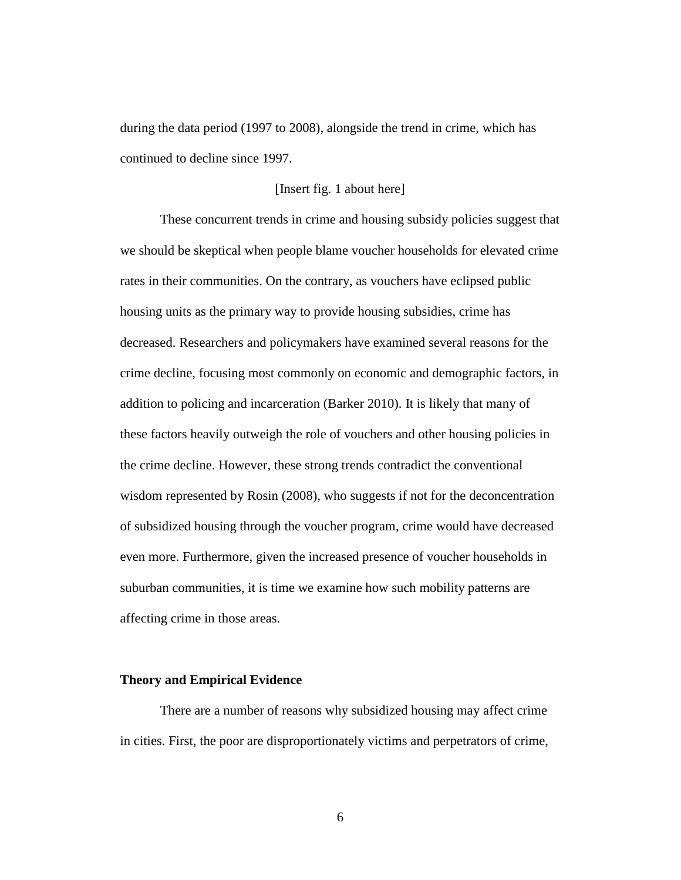during the data period (1997 to 2008), alongside the trend in crime, which has continued to decline since 1997.

# [Insert fig. 1 about here]

These concurrent trends in crime and housing subsidy policies suggest that we should be skeptical when people blame voucher households for elevated crime rates in their communities. On the contrary, as vouchers have eclipsed public housing units as the primary way to provide housing subsidies, crime has decreased. Researchers and policymakers have examined several reasons for the crime decline, focusing most commonly on economic and demographic factors, in addition to policing and incarceration (Barker 2010). It is likely that many of these factors heavily outweigh the role of vouchers and other housing policies in the crime decline. However, these strong trends contradict the conventional wisdom represented by Rosin (2008), who suggests if not for the deconcentration of subsidized housing through the voucher program, crime would have decreased even more. Furthermore, given the increased presence of voucher households in suburban communities, it is time we examine how such mobility patterns are affecting crime in those areas.

# **Theory and Empirical Evidence**

There are a number of reasons why subsidized housing may affect crime in cities. First, the poor are disproportionately victims and perpetrators of crime,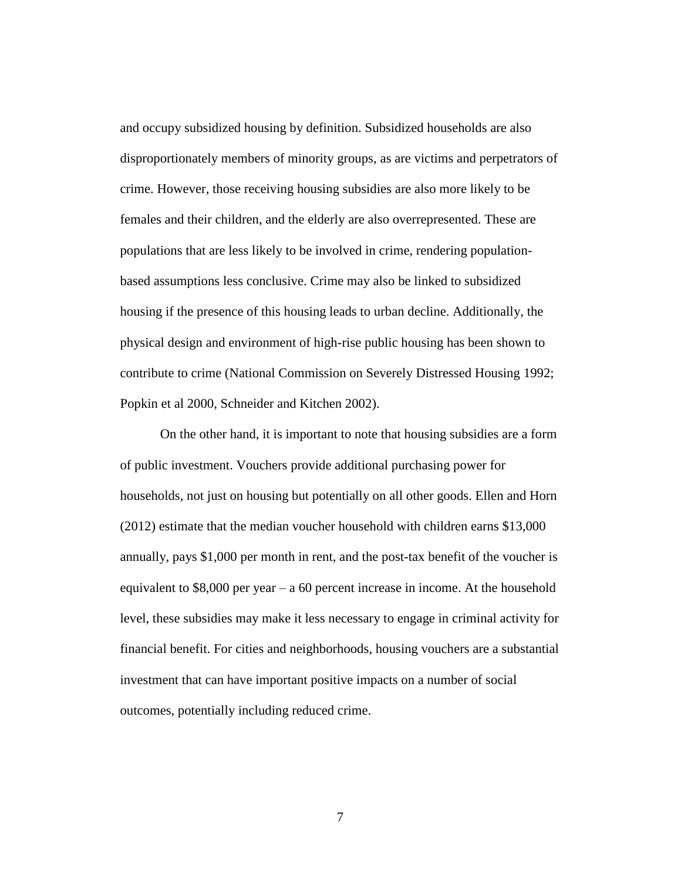and occupy subsidized housing by definition. Subsidized households are also disproportionately members of minority groups, as are victims and perpetrators of crime. However, those receiving housing subsidies are also more likely to be females and their children, and the elderly are also overrepresented. These are populations that are less likely to be involved in crime, rendering populationbased assumptions less conclusive. Crime may also be linked to subsidized housing if the presence of this housing leads to urban decline. Additionally, the physical design and environment of high-rise public housing has been shown to contribute to crime (National Commission on Severely Distressed Housing 1992; Popkin et al 2000, Schneider and Kitchen 2002).

On the other hand, it is important to note that housing subsidies are a form of public investment. Vouchers provide additional purchasing power for households, not just on housing but potentially on all other goods. Ellen and Horn (2012) estimate that the median voucher household with children earns \$13,000 annually, pays \$1,000 per month in rent, and the post-tax benefit of the voucher is equivalent to \$8,000 per year – a 60 percent increase in income. At the household level, these subsidies may make it less necessary to engage in criminal activity for financial benefit. For cities and neighborhoods, housing vouchers are a substantial investment that can have important positive impacts on a number of social outcomes, potentially including reduced crime.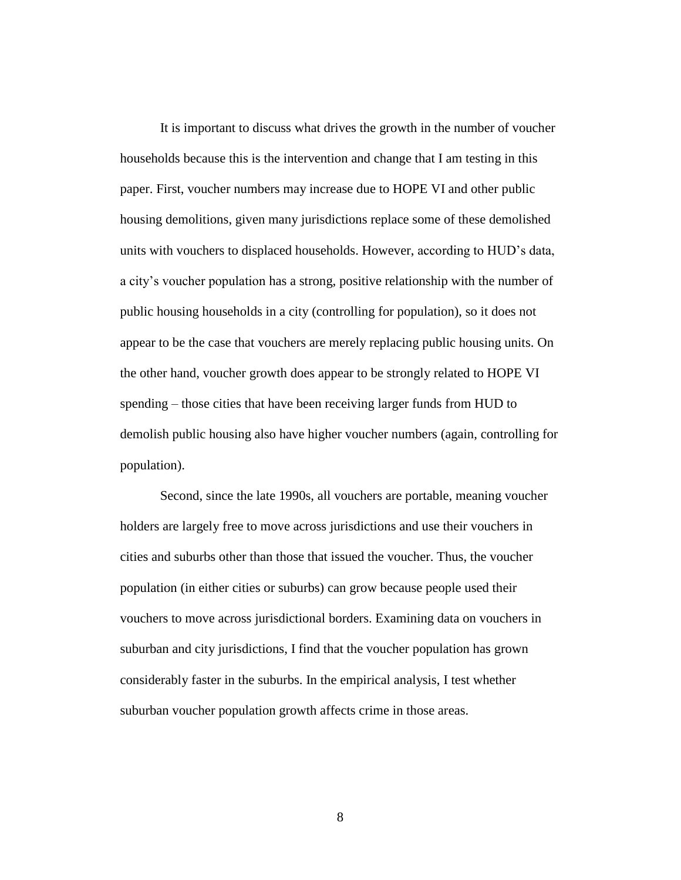It is important to discuss what drives the growth in the number of voucher households because this is the intervention and change that I am testing in this paper. First, voucher numbers may increase due to HOPE VI and other public housing demolitions, given many jurisdictions replace some of these demolished units with vouchers to displaced households. However, according to HUD's data, a city's voucher population has a strong, positive relationship with the number of public housing households in a city (controlling for population), so it does not appear to be the case that vouchers are merely replacing public housing units. On the other hand, voucher growth does appear to be strongly related to HOPE VI spending – those cities that have been receiving larger funds from HUD to demolish public housing also have higher voucher numbers (again, controlling for population).

Second, since the late 1990s, all vouchers are portable, meaning voucher holders are largely free to move across jurisdictions and use their vouchers in cities and suburbs other than those that issued the voucher. Thus, the voucher population (in either cities or suburbs) can grow because people used their vouchers to move across jurisdictional borders. Examining data on vouchers in suburban and city jurisdictions, I find that the voucher population has grown considerably faster in the suburbs. In the empirical analysis, I test whether suburban voucher population growth affects crime in those areas.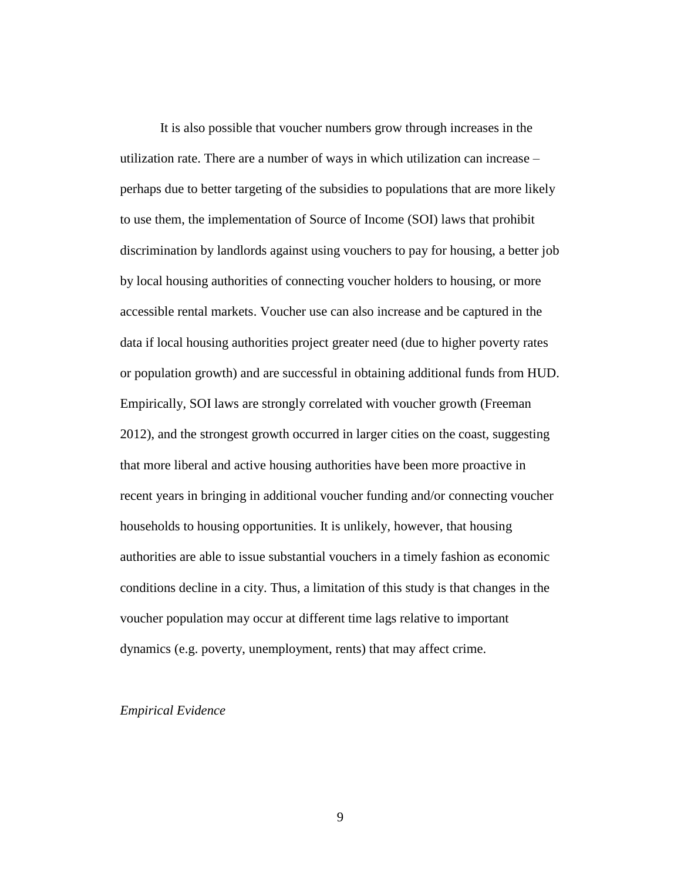It is also possible that voucher numbers grow through increases in the utilization rate. There are a number of ways in which utilization can increase – perhaps due to better targeting of the subsidies to populations that are more likely to use them, the implementation of Source of Income (SOI) laws that prohibit discrimination by landlords against using vouchers to pay for housing, a better job by local housing authorities of connecting voucher holders to housing, or more accessible rental markets. Voucher use can also increase and be captured in the data if local housing authorities project greater need (due to higher poverty rates or population growth) and are successful in obtaining additional funds from HUD. Empirically, SOI laws are strongly correlated with voucher growth (Freeman 2012), and the strongest growth occurred in larger cities on the coast, suggesting that more liberal and active housing authorities have been more proactive in recent years in bringing in additional voucher funding and/or connecting voucher households to housing opportunities. It is unlikely, however, that housing authorities are able to issue substantial vouchers in a timely fashion as economic conditions decline in a city. Thus, a limitation of this study is that changes in the voucher population may occur at different time lags relative to important dynamics (e.g. poverty, unemployment, rents) that may affect crime.

### *Empirical Evidence*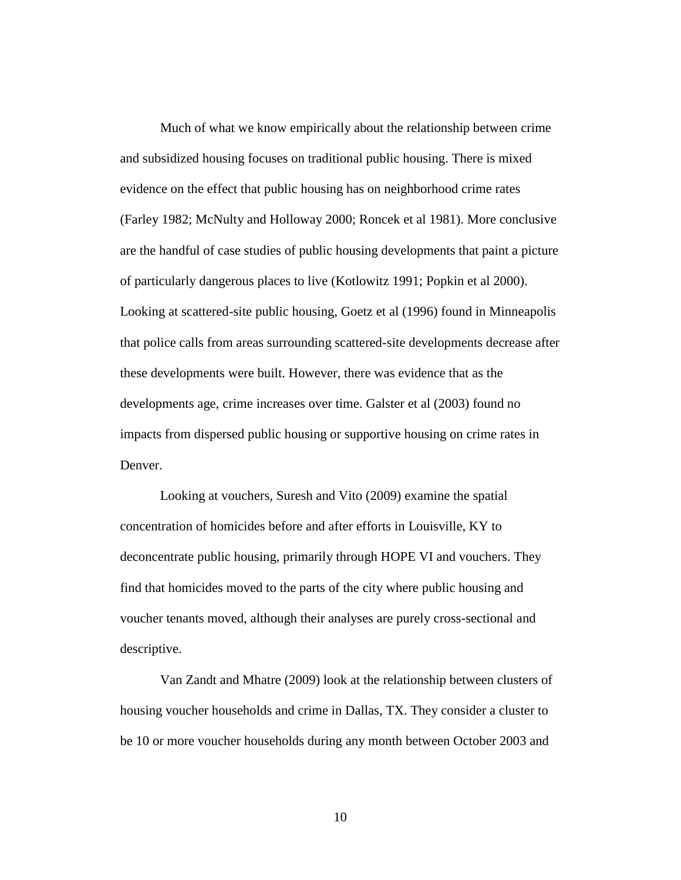Much of what we know empirically about the relationship between crime and subsidized housing focuses on traditional public housing. There is mixed evidence on the effect that public housing has on neighborhood crime rates (Farley 1982; McNulty and Holloway 2000; Roncek et al 1981). More conclusive are the handful of case studies of public housing developments that paint a picture of particularly dangerous places to live (Kotlowitz 1991; Popkin et al 2000). Looking at scattered-site public housing, Goetz et al (1996) found in Minneapolis that police calls from areas surrounding scattered-site developments decrease after these developments were built. However, there was evidence that as the developments age, crime increases over time. Galster et al (2003) found no impacts from dispersed public housing or supportive housing on crime rates in Denver.

Looking at vouchers, Suresh and Vito (2009) examine the spatial concentration of homicides before and after efforts in Louisville, KY to deconcentrate public housing, primarily through HOPE VI and vouchers. They find that homicides moved to the parts of the city where public housing and voucher tenants moved, although their analyses are purely cross-sectional and descriptive.

Van Zandt and Mhatre (2009) look at the relationship between clusters of housing voucher households and crime in Dallas, TX. They consider a cluster to be 10 or more voucher households during any month between October 2003 and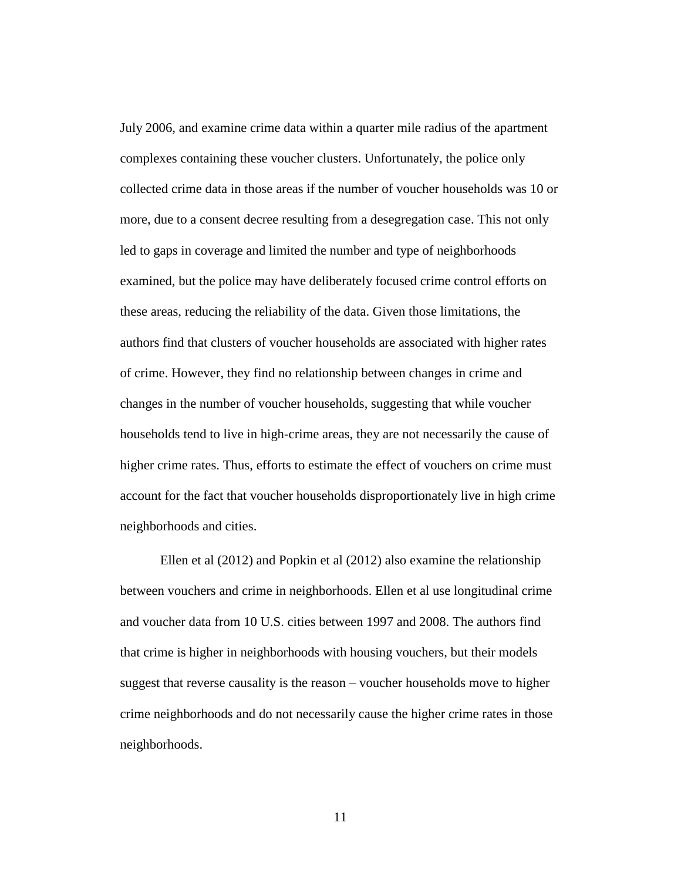July 2006, and examine crime data within a quarter mile radius of the apartment complexes containing these voucher clusters. Unfortunately, the police only collected crime data in those areas if the number of voucher households was 10 or more, due to a consent decree resulting from a desegregation case. This not only led to gaps in coverage and limited the number and type of neighborhoods examined, but the police may have deliberately focused crime control efforts on these areas, reducing the reliability of the data. Given those limitations, the authors find that clusters of voucher households are associated with higher rates of crime. However, they find no relationship between changes in crime and changes in the number of voucher households, suggesting that while voucher households tend to live in high-crime areas, they are not necessarily the cause of higher crime rates. Thus, efforts to estimate the effect of vouchers on crime must account for the fact that voucher households disproportionately live in high crime neighborhoods and cities.

Ellen et al (2012) and Popkin et al (2012) also examine the relationship between vouchers and crime in neighborhoods. Ellen et al use longitudinal crime and voucher data from 10 U.S. cities between 1997 and 2008. The authors find that crime is higher in neighborhoods with housing vouchers, but their models suggest that reverse causality is the reason – voucher households move to higher crime neighborhoods and do not necessarily cause the higher crime rates in those neighborhoods.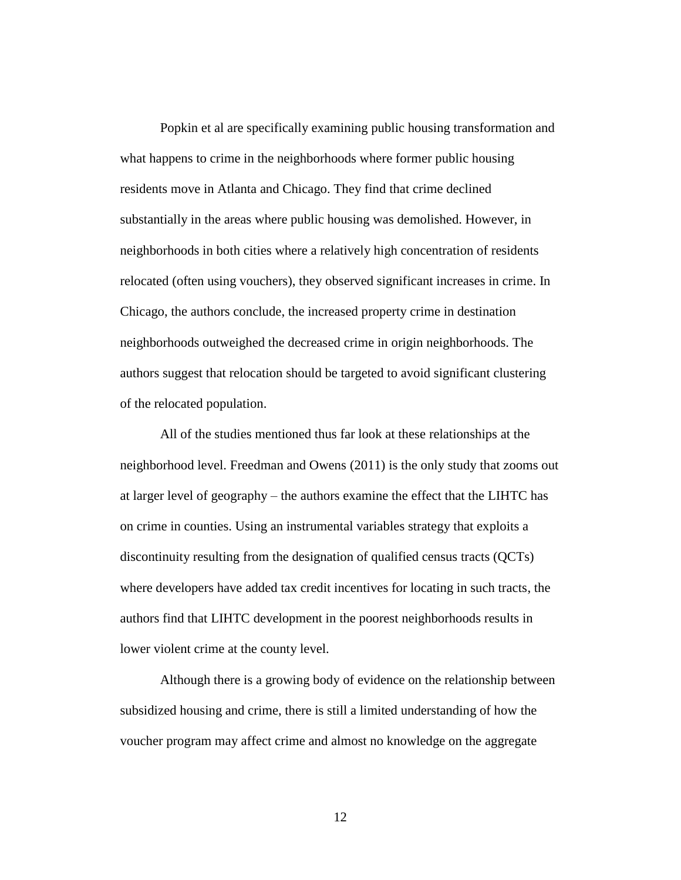Popkin et al are specifically examining public housing transformation and what happens to crime in the neighborhoods where former public housing residents move in Atlanta and Chicago. They find that crime declined substantially in the areas where public housing was demolished. However, in neighborhoods in both cities where a relatively high concentration of residents relocated (often using vouchers), they observed significant increases in crime. In Chicago, the authors conclude, the increased property crime in destination neighborhoods outweighed the decreased crime in origin neighborhoods. The authors suggest that relocation should be targeted to avoid significant clustering of the relocated population.

All of the studies mentioned thus far look at these relationships at the neighborhood level. Freedman and Owens (2011) is the only study that zooms out at larger level of geography – the authors examine the effect that the LIHTC has on crime in counties. Using an instrumental variables strategy that exploits a discontinuity resulting from the designation of qualified census tracts (QCTs) where developers have added tax credit incentives for locating in such tracts, the authors find that LIHTC development in the poorest neighborhoods results in lower violent crime at the county level.

Although there is a growing body of evidence on the relationship between subsidized housing and crime, there is still a limited understanding of how the voucher program may affect crime and almost no knowledge on the aggregate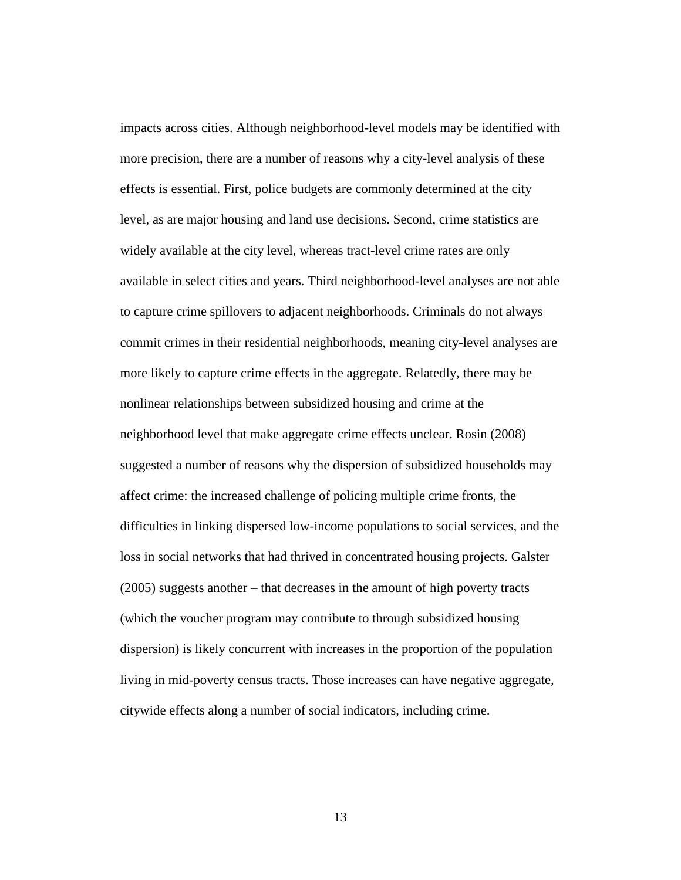impacts across cities. Although neighborhood-level models may be identified with more precision, there are a number of reasons why a city-level analysis of these effects is essential. First, police budgets are commonly determined at the city level, as are major housing and land use decisions. Second, crime statistics are widely available at the city level, whereas tract-level crime rates are only available in select cities and years. Third neighborhood-level analyses are not able to capture crime spillovers to adjacent neighborhoods. Criminals do not always commit crimes in their residential neighborhoods, meaning city-level analyses are more likely to capture crime effects in the aggregate. Relatedly, there may be nonlinear relationships between subsidized housing and crime at the neighborhood level that make aggregate crime effects unclear. Rosin (2008) suggested a number of reasons why the dispersion of subsidized households may affect crime: the increased challenge of policing multiple crime fronts, the difficulties in linking dispersed low-income populations to social services, and the loss in social networks that had thrived in concentrated housing projects. Galster (2005) suggests another – that decreases in the amount of high poverty tracts (which the voucher program may contribute to through subsidized housing dispersion) is likely concurrent with increases in the proportion of the population living in mid-poverty census tracts. Those increases can have negative aggregate, citywide effects along a number of social indicators, including crime.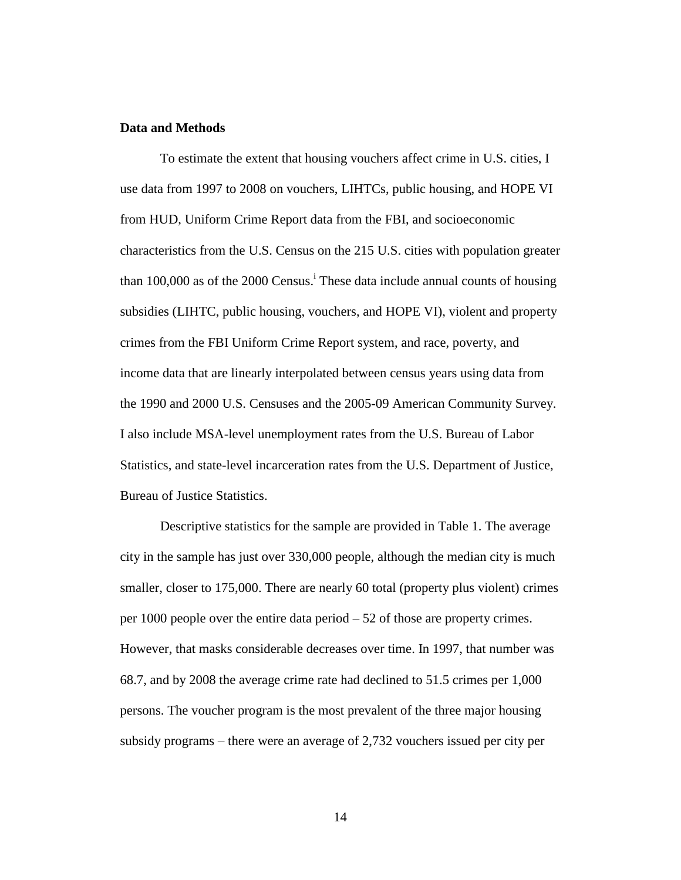# **Data and Methods**

To estimate the extent that housing vouchers affect crime in U.S. cities, I use data from 1997 to 2008 on vouchers, LIHTCs, public housing, and HOPE VI from HUD, Uniform Crime Report data from the FBI, and socioeconomic characteristics from the U.S. Census on the 215 U.S. cities with population greater than 100,000 as of the 2000 Census.<sup>i</sup> These data include annual counts of housing subsidies (LIHTC, public housing, vouchers, and HOPE VI), violent and property crimes from the FBI Uniform Crime Report system, and race, poverty, and income data that are linearly interpolated between census years using data from the 1990 and 2000 U.S. Censuses and the 2005-09 American Community Survey. I also include MSA-level unemployment rates from the U.S. Bureau of Labor Statistics, and state-level incarceration rates from the U.S. Department of Justice, Bureau of Justice Statistics.

Descriptive statistics for the sample are provided in Table 1. The average city in the sample has just over 330,000 people, although the median city is much smaller, closer to 175,000. There are nearly 60 total (property plus violent) crimes per 1000 people over the entire data period – 52 of those are property crimes. However, that masks considerable decreases over time. In 1997, that number was 68.7, and by 2008 the average crime rate had declined to 51.5 crimes per 1,000 persons. The voucher program is the most prevalent of the three major housing subsidy programs – there were an average of 2,732 vouchers issued per city per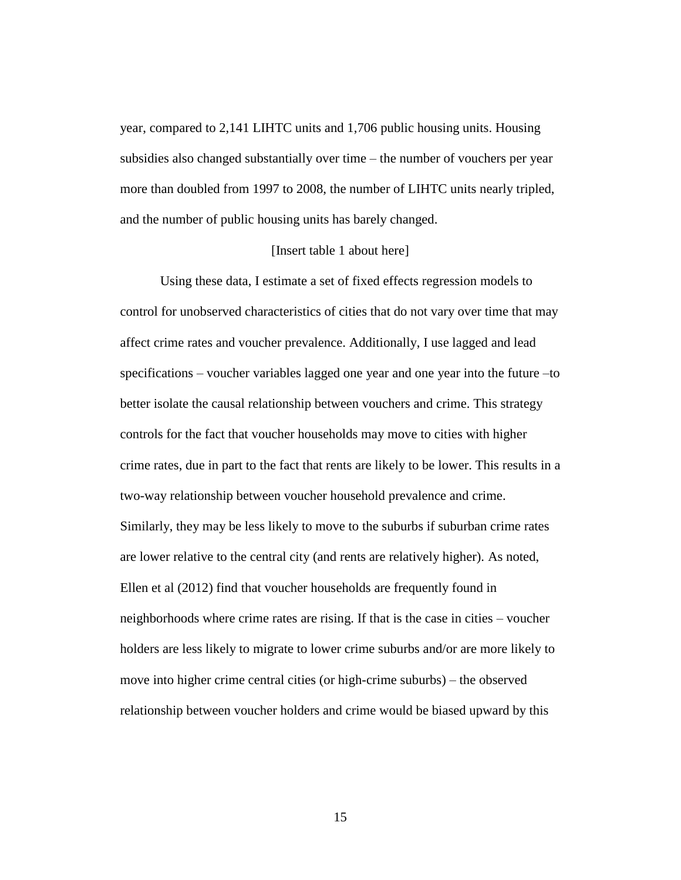year, compared to 2,141 LIHTC units and 1,706 public housing units. Housing subsidies also changed substantially over time – the number of vouchers per year more than doubled from 1997 to 2008, the number of LIHTC units nearly tripled, and the number of public housing units has barely changed.

### [Insert table 1 about here]

Using these data, I estimate a set of fixed effects regression models to control for unobserved characteristics of cities that do not vary over time that may affect crime rates and voucher prevalence. Additionally, I use lagged and lead specifications – voucher variables lagged one year and one year into the future –to better isolate the causal relationship between vouchers and crime. This strategy controls for the fact that voucher households may move to cities with higher crime rates, due in part to the fact that rents are likely to be lower. This results in a two-way relationship between voucher household prevalence and crime. Similarly, they may be less likely to move to the suburbs if suburban crime rates are lower relative to the central city (and rents are relatively higher). As noted, Ellen et al (2012) find that voucher households are frequently found in neighborhoods where crime rates are rising. If that is the case in cities – voucher holders are less likely to migrate to lower crime suburbs and/or are more likely to move into higher crime central cities (or high-crime suburbs) – the observed relationship between voucher holders and crime would be biased upward by this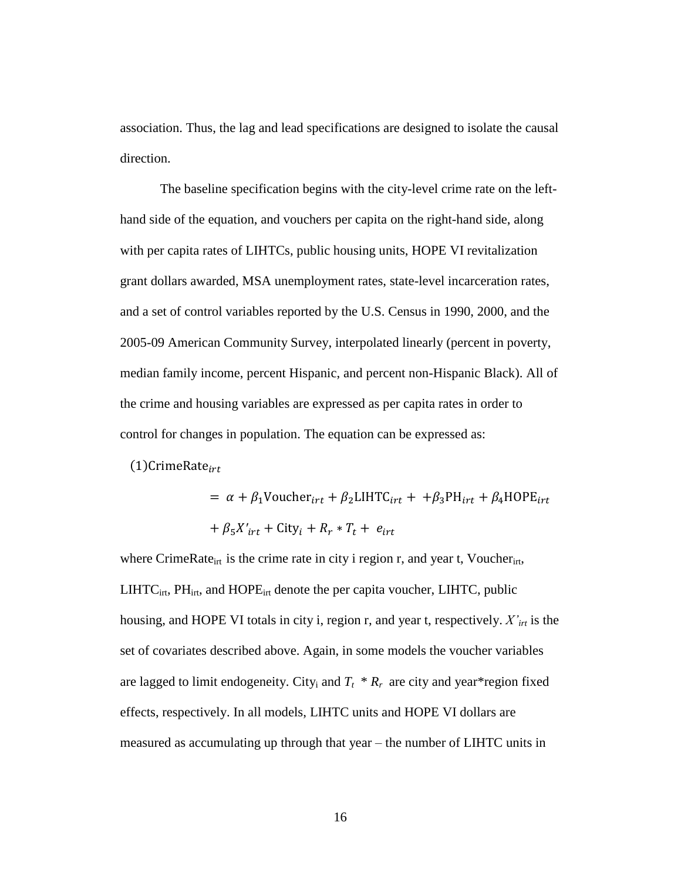association. Thus, the lag and lead specifications are designed to isolate the causal direction.

The baseline specification begins with the city-level crime rate on the lefthand side of the equation, and vouchers per capita on the right-hand side, along with per capita rates of LIHTCs, public housing units, HOPE VI revitalization grant dollars awarded, MSA unemployment rates, state-level incarceration rates, and a set of control variables reported by the U.S. Census in 1990, 2000, and the 2005-09 American Community Survey, interpolated linearly (percent in poverty, median family income, percent Hispanic, and percent non-Hispanic Black). All of the crime and housing variables are expressed as per capita rates in order to control for changes in population. The equation can be expressed as:

 $(1)$ CrimeRate<sub>irt</sub>

= 
$$
\alpha + \beta_1
$$
 Voucher<sub>irt</sub> +  $\beta_2$ LIHTC<sub>irt</sub> +  $+\beta_3$ PH<sub>irt</sub> +  $\beta_4$ HOPE<sub>irt</sub>  
+  $\beta_5 X'_{irt}$  + City<sub>i</sub> +  $R_r * T_t$  +  $e_{irt}$ 

where CrimeRate<sub>irt</sub> is the crime rate in city i region r, and year t, Voucher<sub>irt</sub>,  $LIHTC<sub>irt</sub>$ ,  $PH<sub>irt</sub>$ , and  $HOPE<sub>irt</sub>$  denote the per capita voucher,  $LIHTC$ , public housing, and HOPE VI totals in city i, region r, and year t, respectively. *X'irt* is the set of covariates described above. Again, in some models the voucher variables are lagged to limit endogeneity. City<sub>i</sub> and  $T_t$  \*  $R_r$  are city and year \* region fixed effects, respectively. In all models, LIHTC units and HOPE VI dollars are measured as accumulating up through that year – the number of LIHTC units in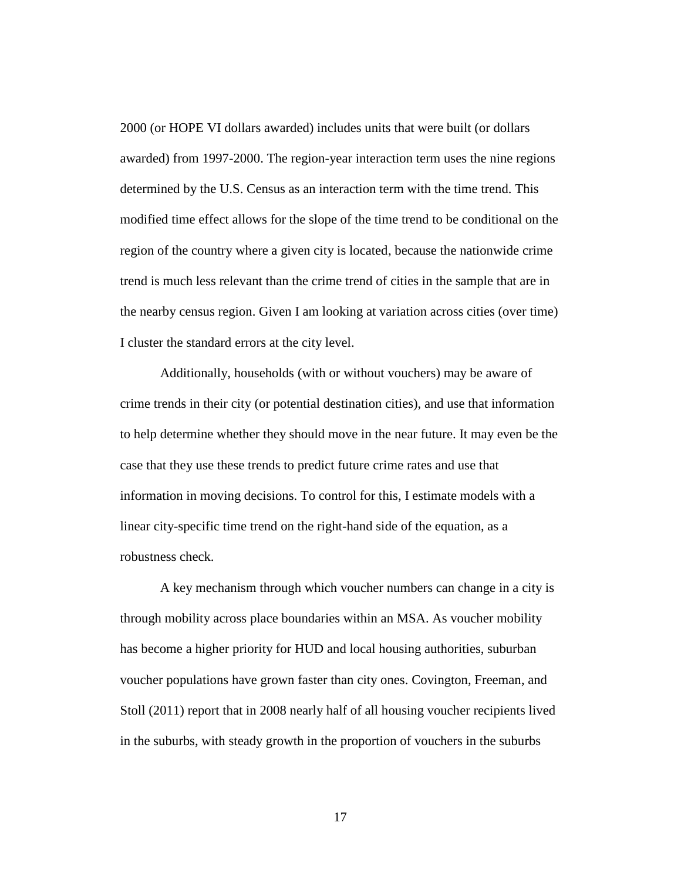2000 (or HOPE VI dollars awarded) includes units that were built (or dollars awarded) from 1997-2000. The region-year interaction term uses the nine regions determined by the U.S. Census as an interaction term with the time trend. This modified time effect allows for the slope of the time trend to be conditional on the region of the country where a given city is located, because the nationwide crime trend is much less relevant than the crime trend of cities in the sample that are in the nearby census region. Given I am looking at variation across cities (over time) I cluster the standard errors at the city level.

Additionally, households (with or without vouchers) may be aware of crime trends in their city (or potential destination cities), and use that information to help determine whether they should move in the near future. It may even be the case that they use these trends to predict future crime rates and use that information in moving decisions. To control for this, I estimate models with a linear city-specific time trend on the right-hand side of the equation, as a robustness check.

A key mechanism through which voucher numbers can change in a city is through mobility across place boundaries within an MSA. As voucher mobility has become a higher priority for HUD and local housing authorities, suburban voucher populations have grown faster than city ones. Covington, Freeman, and Stoll (2011) report that in 2008 nearly half of all housing voucher recipients lived in the suburbs, with steady growth in the proportion of vouchers in the suburbs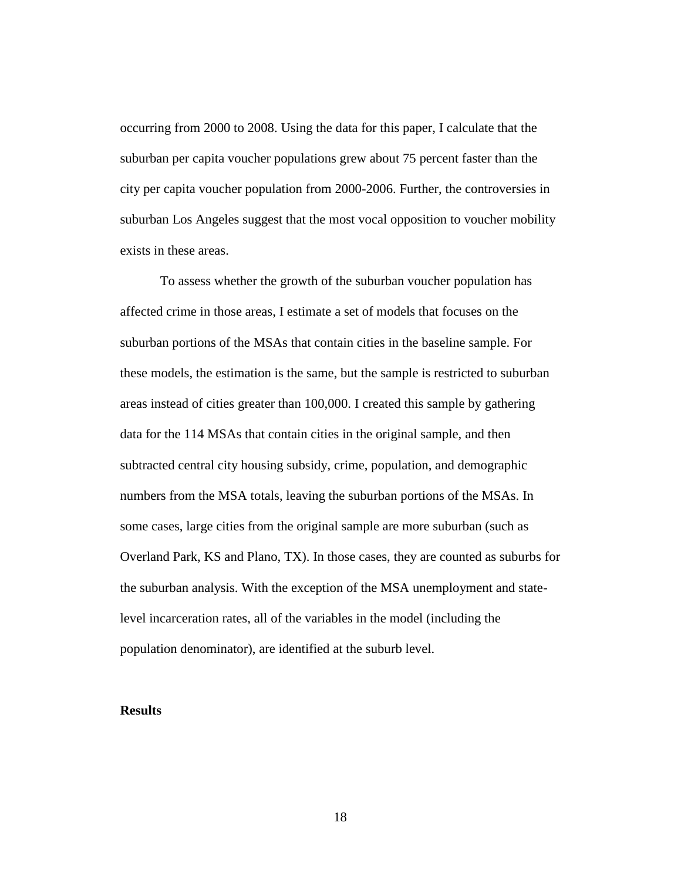occurring from 2000 to 2008. Using the data for this paper, I calculate that the suburban per capita voucher populations grew about 75 percent faster than the city per capita voucher population from 2000-2006. Further, the controversies in suburban Los Angeles suggest that the most vocal opposition to voucher mobility exists in these areas.

To assess whether the growth of the suburban voucher population has affected crime in those areas, I estimate a set of models that focuses on the suburban portions of the MSAs that contain cities in the baseline sample. For these models, the estimation is the same, but the sample is restricted to suburban areas instead of cities greater than 100,000. I created this sample by gathering data for the 114 MSAs that contain cities in the original sample, and then subtracted central city housing subsidy, crime, population, and demographic numbers from the MSA totals, leaving the suburban portions of the MSAs. In some cases, large cities from the original sample are more suburban (such as Overland Park, KS and Plano, TX). In those cases, they are counted as suburbs for the suburban analysis. With the exception of the MSA unemployment and statelevel incarceration rates, all of the variables in the model (including the population denominator), are identified at the suburb level.

# **Results**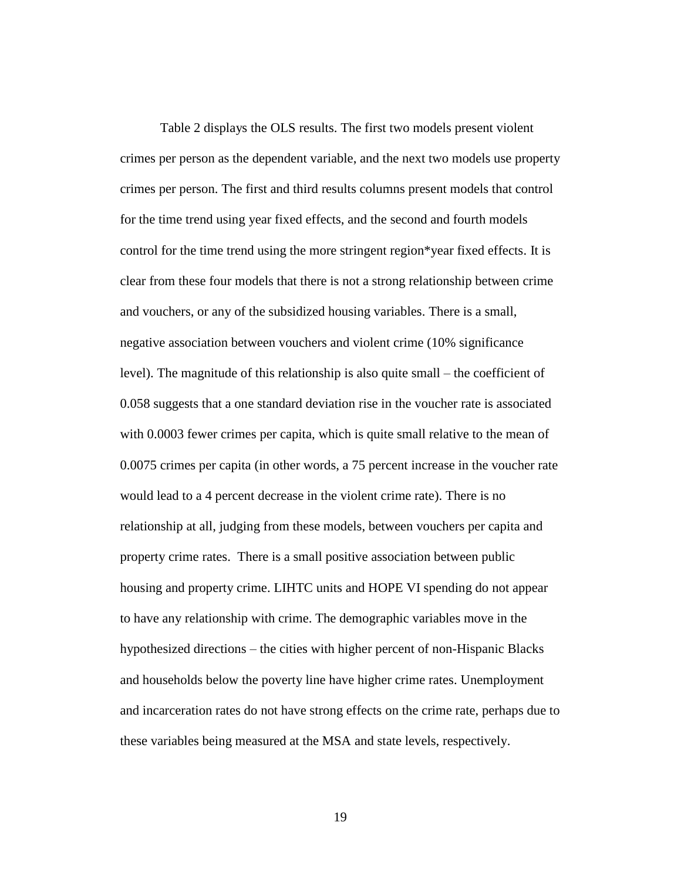Table 2 displays the OLS results. The first two models present violent crimes per person as the dependent variable, and the next two models use property crimes per person. The first and third results columns present models that control for the time trend using year fixed effects, and the second and fourth models control for the time trend using the more stringent region\*year fixed effects. It is clear from these four models that there is not a strong relationship between crime and vouchers, or any of the subsidized housing variables. There is a small, negative association between vouchers and violent crime (10% significance level). The magnitude of this relationship is also quite small – the coefficient of 0.058 suggests that a one standard deviation rise in the voucher rate is associated with 0.0003 fewer crimes per capita, which is quite small relative to the mean of 0.0075 crimes per capita (in other words, a 75 percent increase in the voucher rate would lead to a 4 percent decrease in the violent crime rate). There is no relationship at all, judging from these models, between vouchers per capita and property crime rates. There is a small positive association between public housing and property crime. LIHTC units and HOPE VI spending do not appear to have any relationship with crime. The demographic variables move in the hypothesized directions – the cities with higher percent of non-Hispanic Blacks and households below the poverty line have higher crime rates. Unemployment and incarceration rates do not have strong effects on the crime rate, perhaps due to these variables being measured at the MSA and state levels, respectively.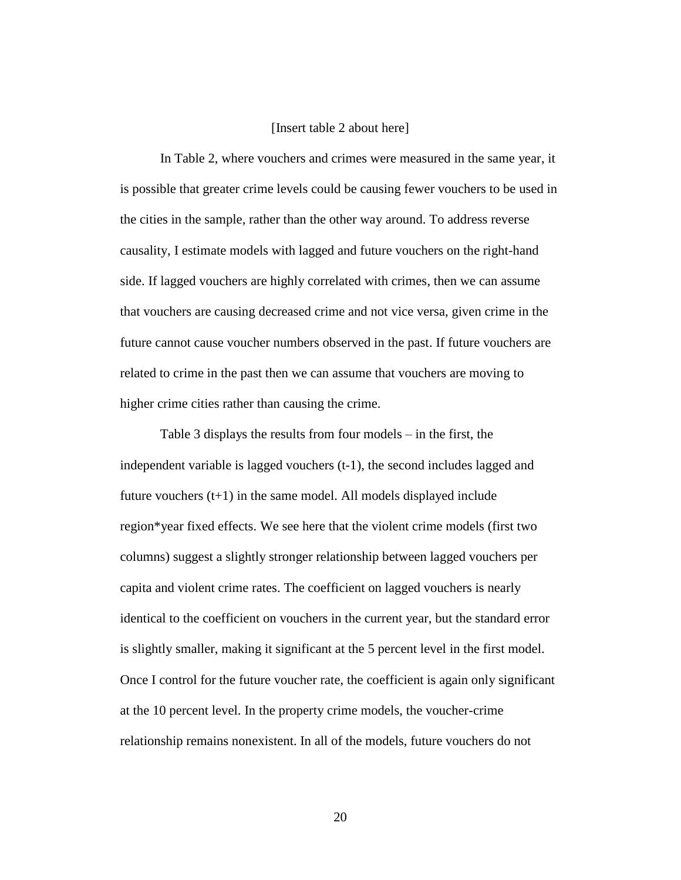### [Insert table 2 about here]

In Table 2, where vouchers and crimes were measured in the same year, it is possible that greater crime levels could be causing fewer vouchers to be used in the cities in the sample, rather than the other way around. To address reverse causality, I estimate models with lagged and future vouchers on the right-hand side. If lagged vouchers are highly correlated with crimes, then we can assume that vouchers are causing decreased crime and not vice versa, given crime in the future cannot cause voucher numbers observed in the past. If future vouchers are related to crime in the past then we can assume that vouchers are moving to higher crime cities rather than causing the crime.

Table 3 displays the results from four models – in the first, the independent variable is lagged vouchers (t-1), the second includes lagged and future vouchers  $(t+1)$  in the same model. All models displayed include region\*year fixed effects. We see here that the violent crime models (first two columns) suggest a slightly stronger relationship between lagged vouchers per capita and violent crime rates. The coefficient on lagged vouchers is nearly identical to the coefficient on vouchers in the current year, but the standard error is slightly smaller, making it significant at the 5 percent level in the first model. Once I control for the future voucher rate, the coefficient is again only significant at the 10 percent level. In the property crime models, the voucher-crime relationship remains nonexistent. In all of the models, future vouchers do not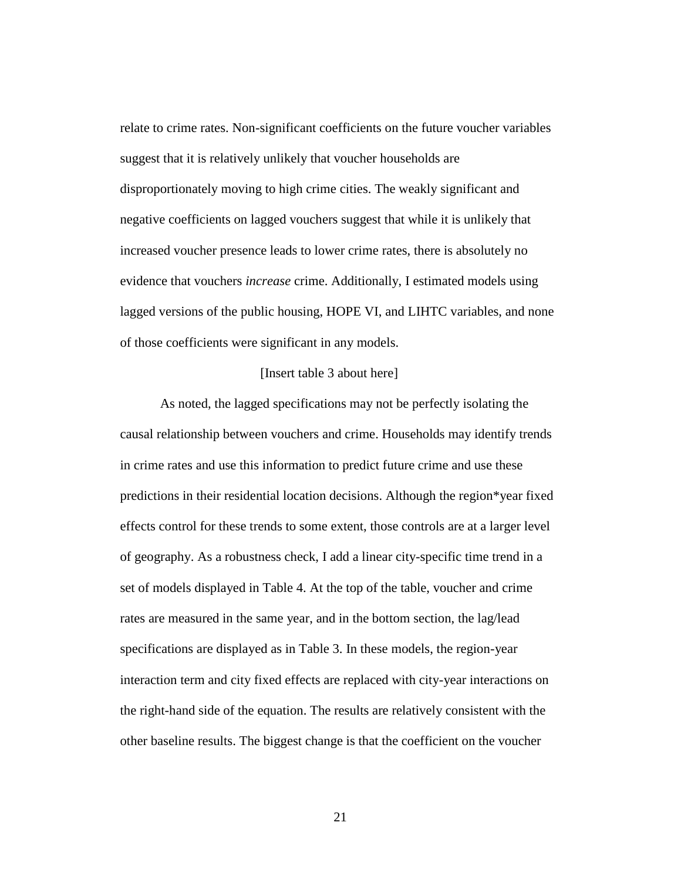relate to crime rates. Non-significant coefficients on the future voucher variables suggest that it is relatively unlikely that voucher households are disproportionately moving to high crime cities. The weakly significant and negative coefficients on lagged vouchers suggest that while it is unlikely that increased voucher presence leads to lower crime rates, there is absolutely no evidence that vouchers *increase* crime. Additionally, I estimated models using lagged versions of the public housing, HOPE VI, and LIHTC variables, and none of those coefficients were significant in any models.

### [Insert table 3 about here]

As noted, the lagged specifications may not be perfectly isolating the causal relationship between vouchers and crime. Households may identify trends in crime rates and use this information to predict future crime and use these predictions in their residential location decisions. Although the region\*year fixed effects control for these trends to some extent, those controls are at a larger level of geography. As a robustness check, I add a linear city-specific time trend in a set of models displayed in Table 4. At the top of the table, voucher and crime rates are measured in the same year, and in the bottom section, the lag/lead specifications are displayed as in Table 3. In these models, the region-year interaction term and city fixed effects are replaced with city-year interactions on the right-hand side of the equation. The results are relatively consistent with the other baseline results. The biggest change is that the coefficient on the voucher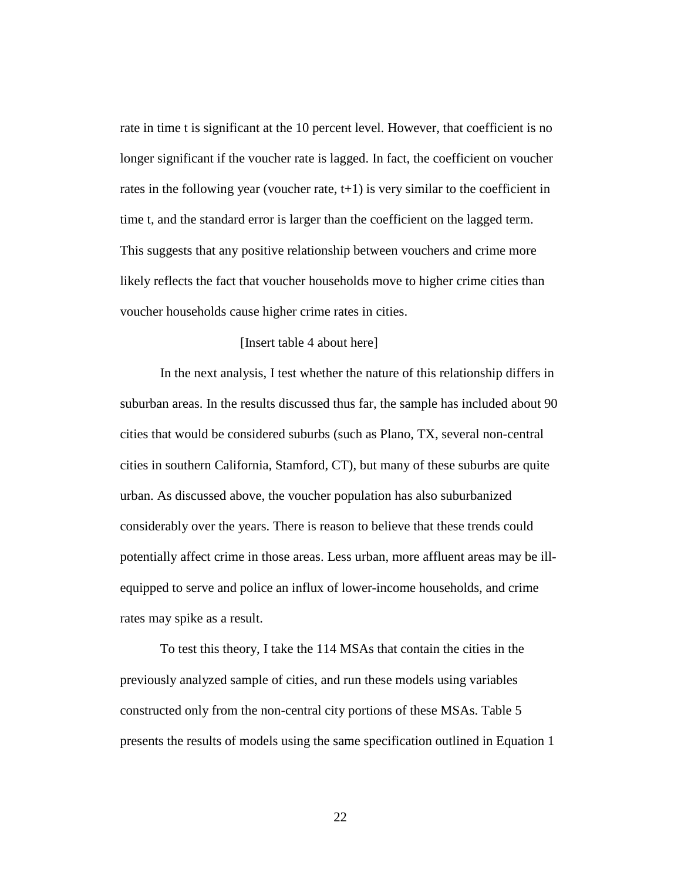rate in time t is significant at the 10 percent level. However, that coefficient is no longer significant if the voucher rate is lagged. In fact, the coefficient on voucher rates in the following year (voucher rate,  $t+1$ ) is very similar to the coefficient in time t, and the standard error is larger than the coefficient on the lagged term. This suggests that any positive relationship between vouchers and crime more likely reflects the fact that voucher households move to higher crime cities than voucher households cause higher crime rates in cities.

#### [Insert table 4 about here]

In the next analysis, I test whether the nature of this relationship differs in suburban areas. In the results discussed thus far, the sample has included about 90 cities that would be considered suburbs (such as Plano, TX, several non-central cities in southern California, Stamford, CT), but many of these suburbs are quite urban. As discussed above, the voucher population has also suburbanized considerably over the years. There is reason to believe that these trends could potentially affect crime in those areas. Less urban, more affluent areas may be illequipped to serve and police an influx of lower-income households, and crime rates may spike as a result.

To test this theory, I take the 114 MSAs that contain the cities in the previously analyzed sample of cities, and run these models using variables constructed only from the non-central city portions of these MSAs. Table 5 presents the results of models using the same specification outlined in Equation 1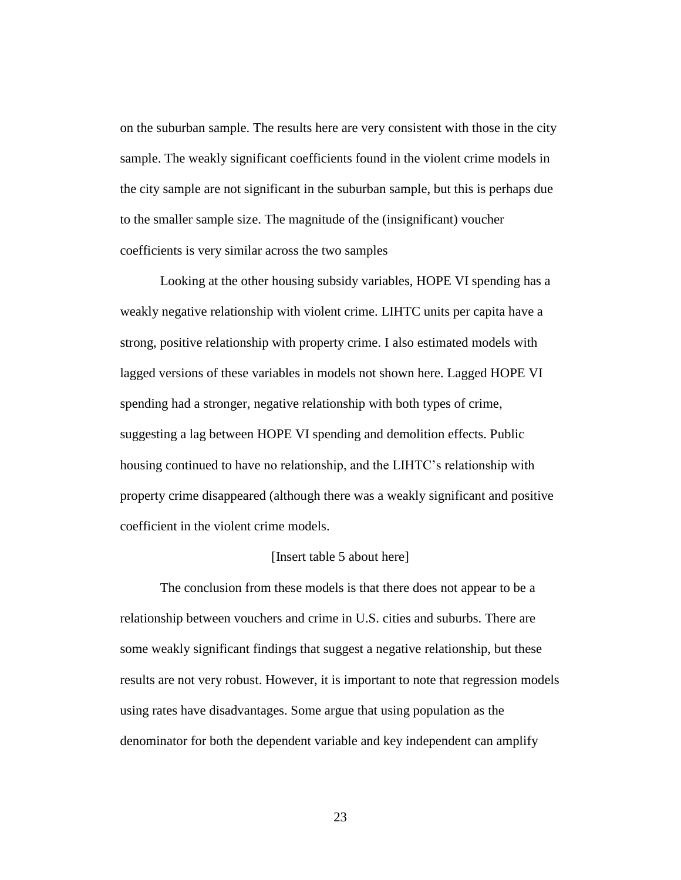on the suburban sample. The results here are very consistent with those in the city sample. The weakly significant coefficients found in the violent crime models in the city sample are not significant in the suburban sample, but this is perhaps due to the smaller sample size. The magnitude of the (insignificant) voucher coefficients is very similar across the two samples

Looking at the other housing subsidy variables, HOPE VI spending has a weakly negative relationship with violent crime. LIHTC units per capita have a strong, positive relationship with property crime. I also estimated models with lagged versions of these variables in models not shown here. Lagged HOPE VI spending had a stronger, negative relationship with both types of crime, suggesting a lag between HOPE VI spending and demolition effects. Public housing continued to have no relationship, and the LIHTC's relationship with property crime disappeared (although there was a weakly significant and positive coefficient in the violent crime models.

### [Insert table 5 about here]

The conclusion from these models is that there does not appear to be a relationship between vouchers and crime in U.S. cities and suburbs. There are some weakly significant findings that suggest a negative relationship, but these results are not very robust. However, it is important to note that regression models using rates have disadvantages. Some argue that using population as the denominator for both the dependent variable and key independent can amplify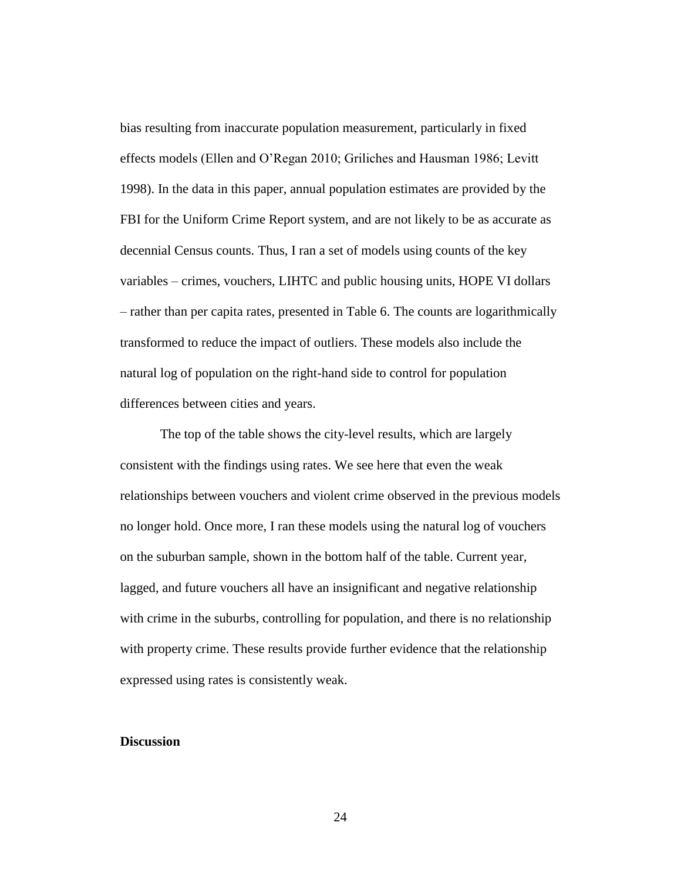bias resulting from inaccurate population measurement, particularly in fixed effects models (Ellen and O'Regan 2010; Griliches and Hausman 1986; Levitt 1998). In the data in this paper, annual population estimates are provided by the FBI for the Uniform Crime Report system, and are not likely to be as accurate as decennial Census counts. Thus, I ran a set of models using counts of the key variables – crimes, vouchers, LIHTC and public housing units, HOPE VI dollars – rather than per capita rates, presented in Table 6. The counts are logarithmically transformed to reduce the impact of outliers. These models also include the natural log of population on the right-hand side to control for population differences between cities and years.

The top of the table shows the city-level results, which are largely consistent with the findings using rates. We see here that even the weak relationships between vouchers and violent crime observed in the previous models no longer hold. Once more, I ran these models using the natural log of vouchers on the suburban sample, shown in the bottom half of the table. Current year, lagged, and future vouchers all have an insignificant and negative relationship with crime in the suburbs, controlling for population, and there is no relationship with property crime. These results provide further evidence that the relationship expressed using rates is consistently weak.

### **Discussion**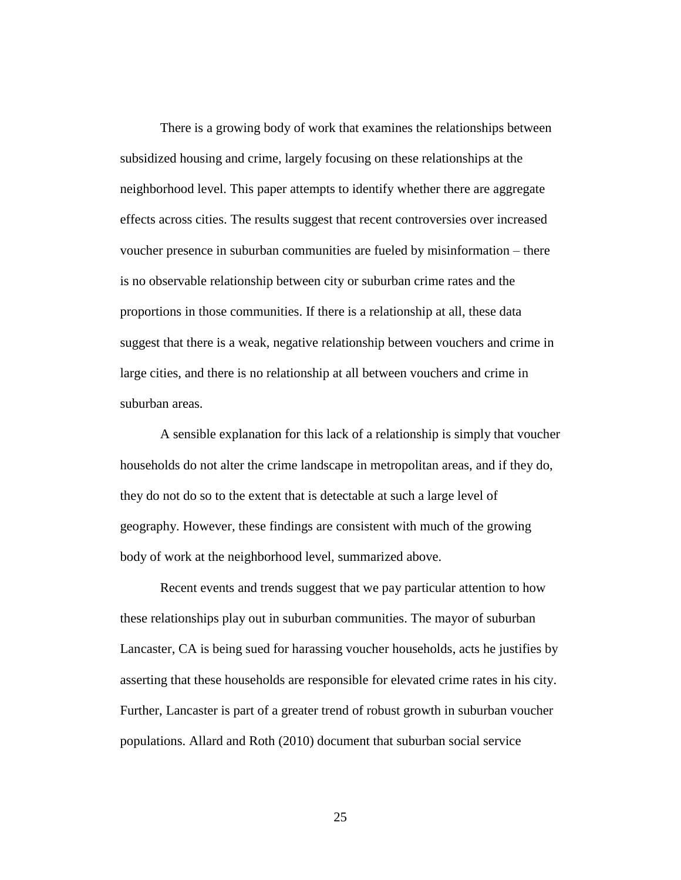There is a growing body of work that examines the relationships between subsidized housing and crime, largely focusing on these relationships at the neighborhood level. This paper attempts to identify whether there are aggregate effects across cities. The results suggest that recent controversies over increased voucher presence in suburban communities are fueled by misinformation – there is no observable relationship between city or suburban crime rates and the proportions in those communities. If there is a relationship at all, these data suggest that there is a weak, negative relationship between vouchers and crime in large cities, and there is no relationship at all between vouchers and crime in suburban areas.

A sensible explanation for this lack of a relationship is simply that voucher households do not alter the crime landscape in metropolitan areas, and if they do, they do not do so to the extent that is detectable at such a large level of geography. However, these findings are consistent with much of the growing body of work at the neighborhood level, summarized above.

Recent events and trends suggest that we pay particular attention to how these relationships play out in suburban communities. The mayor of suburban Lancaster, CA is being sued for harassing voucher households, acts he justifies by asserting that these households are responsible for elevated crime rates in his city. Further, Lancaster is part of a greater trend of robust growth in suburban voucher populations. Allard and Roth (2010) document that suburban social service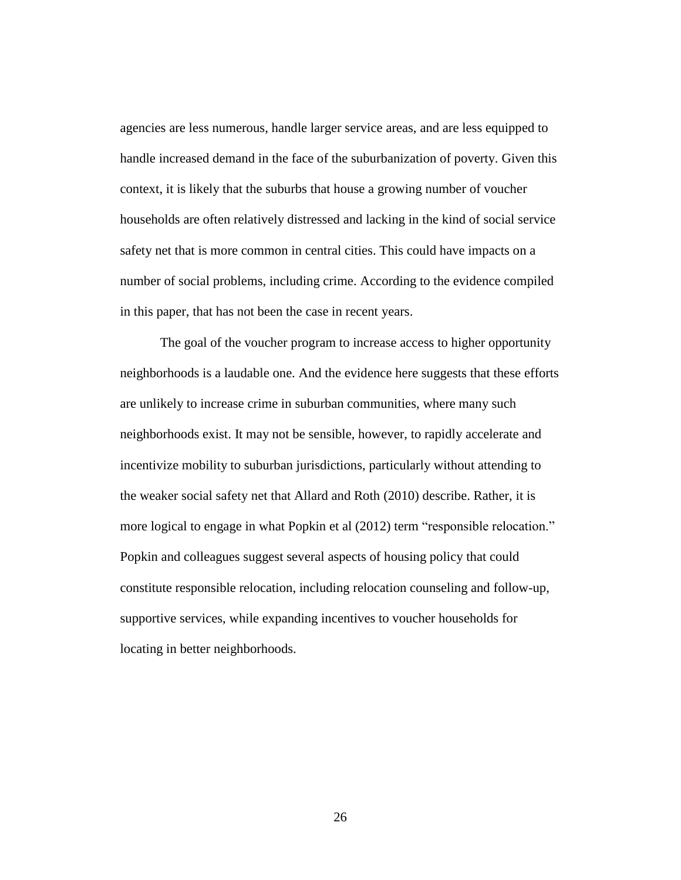agencies are less numerous, handle larger service areas, and are less equipped to handle increased demand in the face of the suburbanization of poverty. Given this context, it is likely that the suburbs that house a growing number of voucher households are often relatively distressed and lacking in the kind of social service safety net that is more common in central cities. This could have impacts on a number of social problems, including crime. According to the evidence compiled in this paper, that has not been the case in recent years.

The goal of the voucher program to increase access to higher opportunity neighborhoods is a laudable one. And the evidence here suggests that these efforts are unlikely to increase crime in suburban communities, where many such neighborhoods exist. It may not be sensible, however, to rapidly accelerate and incentivize mobility to suburban jurisdictions, particularly without attending to the weaker social safety net that Allard and Roth (2010) describe. Rather, it is more logical to engage in what Popkin et al (2012) term "responsible relocation." Popkin and colleagues suggest several aspects of housing policy that could constitute responsible relocation, including relocation counseling and follow-up, supportive services, while expanding incentives to voucher households for locating in better neighborhoods.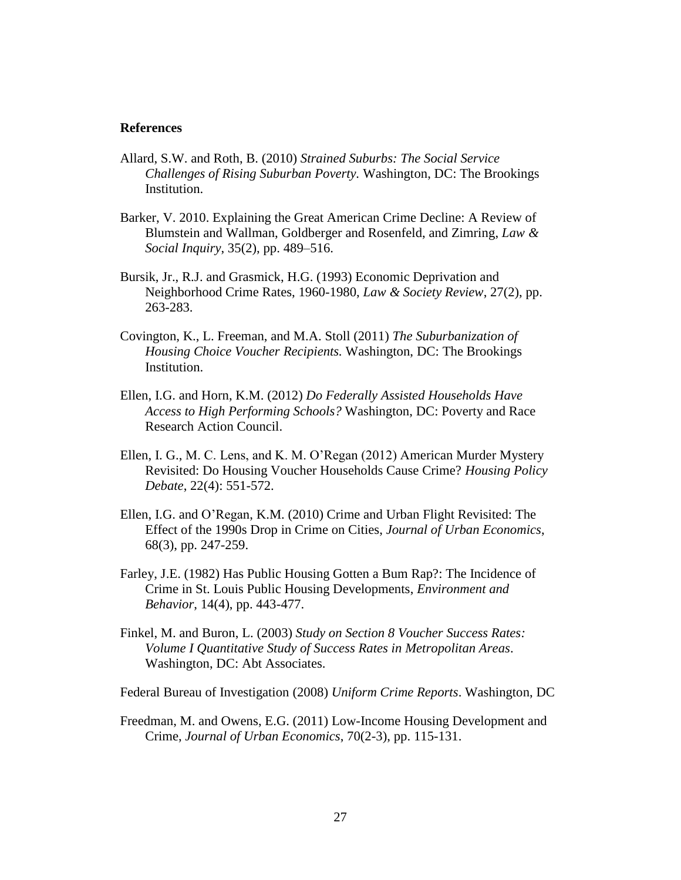#### **References**

- Allard, S.W. and Roth, B. (2010) *Strained Suburbs: The Social Service Challenges of Rising Suburban Poverty.* Washington, DC: The Brookings Institution.
- Barker, V. 2010. Explaining the Great American Crime Decline: A Review of Blumstein and Wallman, Goldberger and Rosenfeld, and Zimring, *Law & Social Inquiry*, 35(2), pp. 489–516.
- Bursik, Jr., R.J. and Grasmick, H.G. (1993) Economic Deprivation and Neighborhood Crime Rates, 1960-1980, *Law & Society Review*, 27(2), pp. 263-283.
- Covington, K., L. Freeman, and M.A. Stoll (2011) *The Suburbanization of Housing Choice Voucher Recipients.* Washington, DC: The Brookings Institution.
- Ellen, I.G. and Horn, K.M. (2012) *Do Federally Assisted Households Have Access to High Performing Schools?* Washington, DC: Poverty and Race Research Action Council.
- Ellen, I. G., M. C. Lens, and K. M. O'Regan (2012) American Murder Mystery Revisited: Do Housing Voucher Households Cause Crime? *Housing Policy Debate*, 22(4): 551-572.
- Ellen, I.G. and O'Regan, K.M. (2010) Crime and Urban Flight Revisited: The Effect of the 1990s Drop in Crime on Cities, *Journal of Urban Economics*, 68(3), pp. 247-259.
- Farley, J.E. (1982) Has Public Housing Gotten a Bum Rap?: The Incidence of Crime in St. Louis Public Housing Developments, *Environment and Behavior*, 14(4), pp. 443-477.
- Finkel, M. and Buron, L. (2003) *Study on Section 8 Voucher Success Rates: Volume I Quantitative Study of Success Rates in Metropolitan Areas*. Washington, DC: Abt Associates.

Federal Bureau of Investigation (2008) *Uniform Crime Reports*. Washington, DC

Freedman, M. and Owens, E.G. (2011) Low-Income Housing Development and Crime, *Journal of Urban Economics*, 70(2-3), pp. 115-131.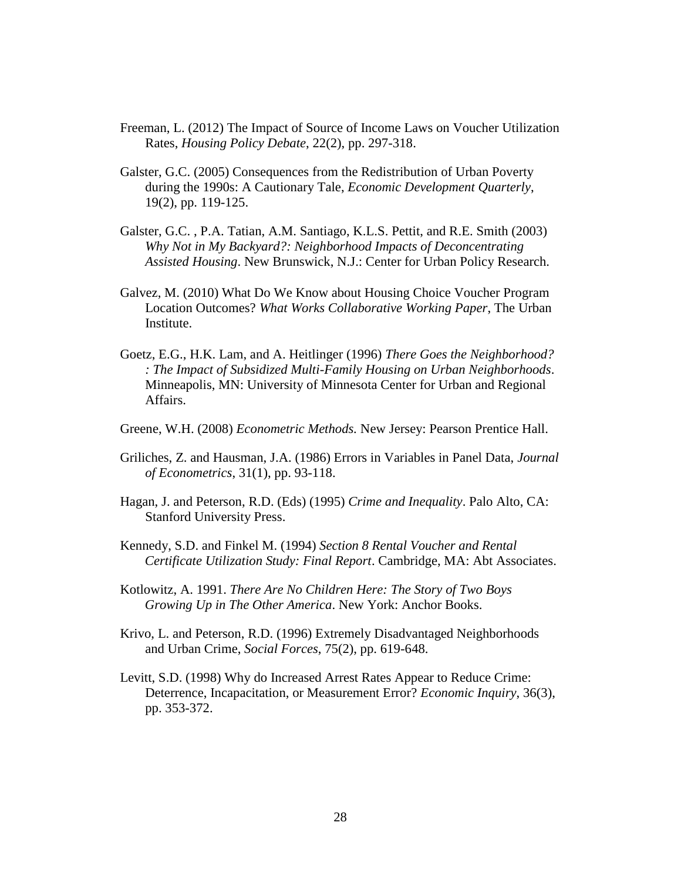- Freeman, L. (2012) The Impact of Source of Income Laws on Voucher Utilization Rates, *Housing Policy Debate*, 22(2), pp. 297-318.
- Galster, G.C. (2005) Consequences from the Redistribution of Urban Poverty during the 1990s: A Cautionary Tale, *Economic Development Quarterly*, 19(2), pp. 119-125.
- Galster, G.C. , P.A. Tatian, A.M. Santiago, K.L.S. Pettit, and R.E. Smith (2003) *Why Not in My Backyard?: Neighborhood Impacts of Deconcentrating Assisted Housing*. New Brunswick, N.J.: Center for Urban Policy Research.
- Galvez, M. (2010) What Do We Know about Housing Choice Voucher Program Location Outcomes? *What Works Collaborative Working Paper*, The Urban Institute.
- Goetz, E.G., H.K. Lam, and A. Heitlinger (1996) *There Goes the Neighborhood? : The Impact of Subsidized Multi-Family Housing on Urban Neighborhoods*. Minneapolis, MN: University of Minnesota Center for Urban and Regional Affairs.
- Greene, W.H. (2008) *Econometric Methods.* New Jersey: Pearson Prentice Hall.
- Griliches, Z. and Hausman, J.A. (1986) Errors in Variables in Panel Data, *Journal of Econometrics*, 31(1), pp. 93-118.
- Hagan, J. and Peterson, R.D. (Eds) (1995) *Crime and Inequality*. Palo Alto, CA: Stanford University Press.
- Kennedy, S.D. and Finkel M. (1994) *Section 8 Rental Voucher and Rental Certificate Utilization Study: Final Report*. Cambridge, MA: Abt Associates.
- Kotlowitz, A. 1991. *There Are No Children Here: The Story of Two Boys Growing Up in The Other America*. New York: Anchor Books.
- Krivo, L. and Peterson, R.D. (1996) Extremely Disadvantaged Neighborhoods and Urban Crime, *Social Forces*, 75(2), pp. 619-648.
- Levitt, S.D. (1998) Why do Increased Arrest Rates Appear to Reduce Crime: Deterrence, Incapacitation, or Measurement Error? *Economic Inquiry*, 36(3), pp. 353-372.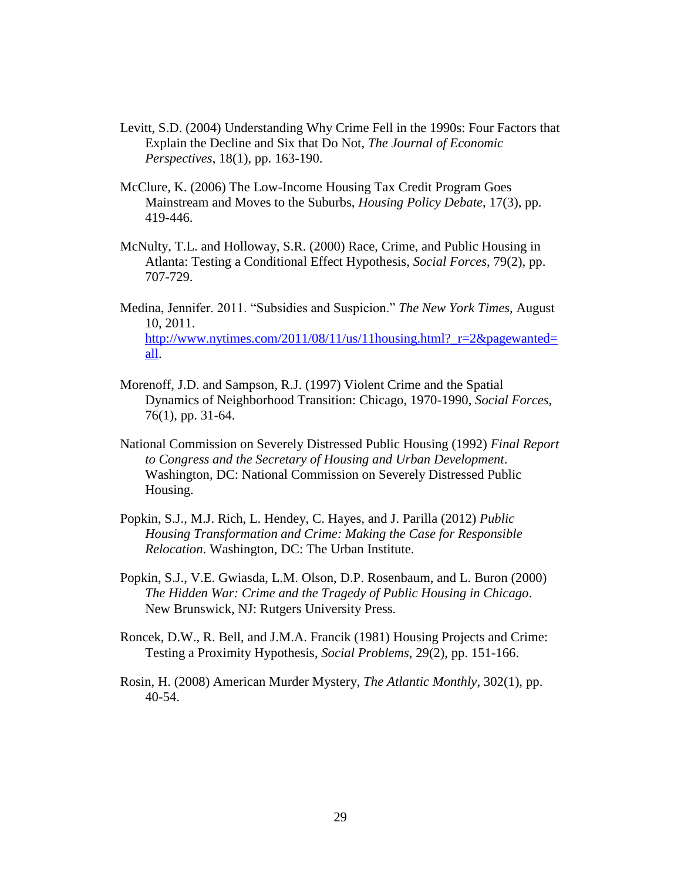- Levitt, S.D. (2004) Understanding Why Crime Fell in the 1990s: Four Factors that Explain the Decline and Six that Do Not, *The Journal of Economic Perspectives*, 18(1), pp. 163-190.
- McClure, K. (2006) The Low-Income Housing Tax Credit Program Goes Mainstream and Moves to the Suburbs, *Housing Policy Debate*, 17(3), pp. 419-446.
- McNulty, T.L. and Holloway, S.R. (2000) Race, Crime, and Public Housing in Atlanta: Testing a Conditional Effect Hypothesis, *Social Forces*, 79(2), pp. 707-729.
- Medina, Jennifer. 2011. "Subsidies and Suspicion." *The New York Times,* August 10, 2011. [http://www.nytimes.com/2011/08/11/us/11housing.html?\\_r=2&pagewanted=](http://www.nytimes.com/2011/08/11/us/11housing.html?_r=2&pagewanted=all) [all.](http://www.nytimes.com/2011/08/11/us/11housing.html?_r=2&pagewanted=all)
- Morenoff, J.D. and Sampson, R.J. (1997) Violent Crime and the Spatial Dynamics of Neighborhood Transition: Chicago, 1970-1990, *Social Forces*, 76(1), pp. 31-64.
- National Commission on Severely Distressed Public Housing (1992) *Final Report to Congress and the Secretary of Housing and Urban Development*. Washington, DC: National Commission on Severely Distressed Public Housing.
- Popkin, S.J., M.J. Rich, L. Hendey, C. Hayes, and J. Parilla (2012) *Public Housing Transformation and Crime: Making the Case for Responsible Relocation*. Washington, DC: The Urban Institute.
- Popkin, S.J., V.E. Gwiasda, L.M. Olson, D.P. Rosenbaum, and L. Buron (2000) *The Hidden War: Crime and the Tragedy of Public Housing in Chicago*. New Brunswick, NJ: Rutgers University Press.
- Roncek, D.W., R. Bell, and J.M.A. Francik (1981) Housing Projects and Crime: Testing a Proximity Hypothesis, *Social Problems*, 29(2), pp. 151-166.
- Rosin, H. (2008) American Murder Mystery, *The Atlantic Monthly*, 302(1), pp. 40-54.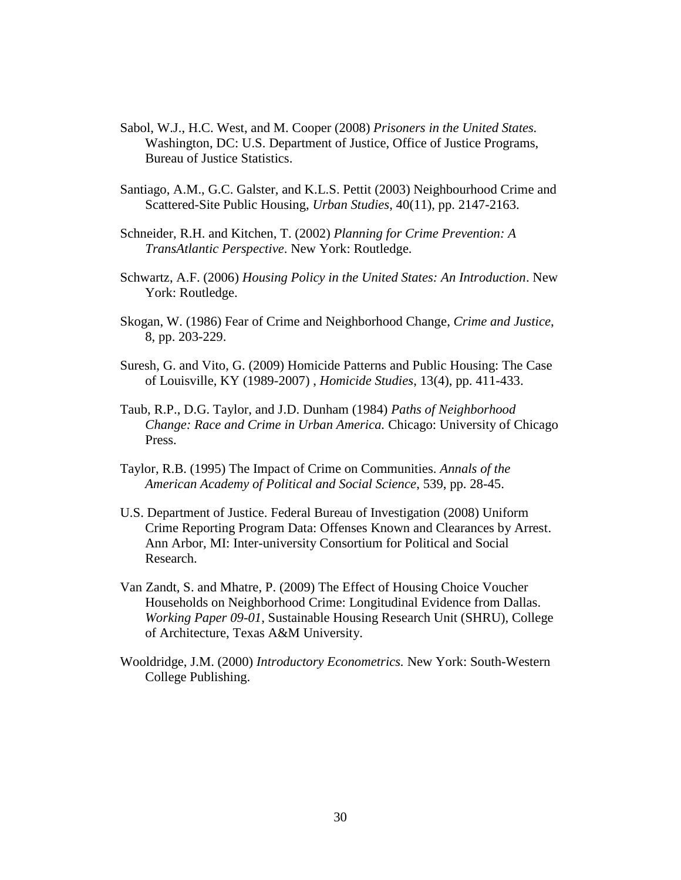- Sabol, W.J., H.C. West, and M. Cooper (2008) *Prisoners in the United States.*  Washington, DC: U.S. Department of Justice, Office of Justice Programs, Bureau of Justice Statistics.
- Santiago, A.M., G.C. Galster, and K.L.S. Pettit (2003) Neighbourhood Crime and Scattered-Site Public Housing, *Urban Studies*, 40(11), pp. 2147-2163.
- Schneider, R.H. and Kitchen, T. (2002) *Planning for Crime Prevention: A TransAtlantic Perspective*. New York: Routledge.
- Schwartz, A.F. (2006) *Housing Policy in the United States: An Introduction*. New York: Routledge.
- Skogan, W. (1986) Fear of Crime and Neighborhood Change, *Crime and Justice*, 8, pp. 203-229.
- Suresh, G. and Vito, G. (2009) Homicide Patterns and Public Housing: The Case of Louisville, KY (1989-2007) , *Homicide Studies*, 13(4), pp. 411-433.
- Taub, R.P., D.G. Taylor, and J.D. Dunham (1984) *Paths of Neighborhood Change: Race and Crime in Urban America.* Chicago: University of Chicago Press.
- Taylor, R.B. (1995) The Impact of Crime on Communities. *Annals of the American Academy of Political and Social Science*, 539, pp. 28-45.
- U.S. Department of Justice. Federal Bureau of Investigation (2008) Uniform Crime Reporting Program Data: Offenses Known and Clearances by Arrest. Ann Arbor, MI: Inter-university Consortium for Political and Social Research.
- Van Zandt, S. and Mhatre, P. (2009) The Effect of Housing Choice Voucher Households on Neighborhood Crime: Longitudinal Evidence from Dallas. *Working Paper 09-01*, Sustainable Housing Research Unit (SHRU), College of Architecture, Texas A&M University.
- Wooldridge, J.M. (2000) *Introductory Econometrics.* New York: South-Western College Publishing.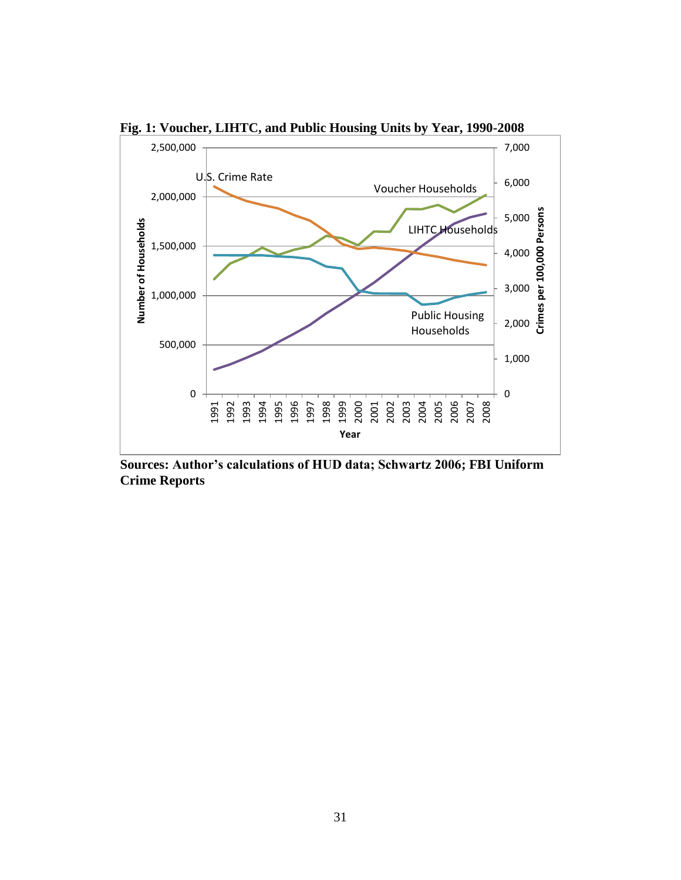

**Fig. 1: Voucher, LIHTC, and Public Housing Units by Year, 1990-2008**

**Sources: Author's calculations of HUD data; Schwartz 2006; FBI Uniform Crime Reports**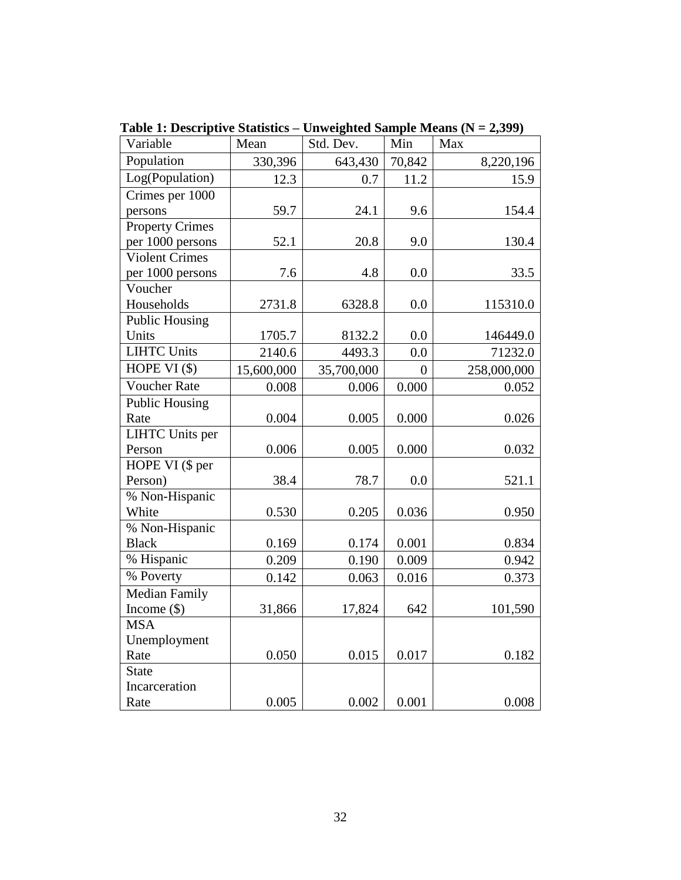| Variable               | Mean       | Std. Dev.  | Min            | Max         |
|------------------------|------------|------------|----------------|-------------|
| Population             | 330,396    | 643,430    | 70,842         | 8,220,196   |
| Log(Population)        | 12.3       | 0.7        | 11.2           | 15.9        |
| Crimes per 1000        |            |            |                |             |
| persons                | 59.7       | 24.1       | 9.6            | 154.4       |
| <b>Property Crimes</b> |            |            |                |             |
| per 1000 persons       | 52.1       | 20.8       | 9.0            | 130.4       |
| <b>Violent Crimes</b>  |            |            |                |             |
| per 1000 persons       | 7.6        | 4.8        | 0.0            | 33.5        |
| Voucher                |            |            |                |             |
| Households             | 2731.8     | 6328.8     | 0.0            | 115310.0    |
| <b>Public Housing</b>  |            |            |                |             |
| Units                  | 1705.7     | 8132.2     | 0.0            | 146449.0    |
| <b>LIHTC Units</b>     | 2140.6     | 4493.3     | 0.0            | 71232.0     |
| HOPE VI $($ \$)        | 15,600,000 | 35,700,000 | $\overline{0}$ | 258,000,000 |
| <b>Voucher Rate</b>    | 0.008      | 0.006      | 0.000          | 0.052       |
| <b>Public Housing</b>  |            |            |                |             |
| Rate                   | 0.004      | 0.005      | 0.000          | 0.026       |
| <b>LIHTC</b> Units per |            |            |                |             |
| Person                 | 0.006      | 0.005      | 0.000          | 0.032       |
| HOPE VI (\$ per        |            |            |                |             |
| Person)                | 38.4       | 78.7       | 0.0            | 521.1       |
| % Non-Hispanic         |            |            |                |             |
| White                  | 0.530      | 0.205      | 0.036          | 0.950       |
| % Non-Hispanic         |            |            |                |             |
| <b>Black</b>           | 0.169      | 0.174      | 0.001          | 0.834       |
| % Hispanic             | 0.209      | 0.190      | 0.009          | 0.942       |
| % Poverty              | 0.142      | 0.063      | 0.016          | 0.373       |
| <b>Median Family</b>   |            |            |                |             |
| Income $(\$)$          | 31,866     | 17,824     | 642            | 101,590     |
| <b>MSA</b>             |            |            |                |             |
| Unemployment           |            |            |                |             |
| Rate                   | 0.050      | 0.015      | 0.017          | 0.182       |
| <b>State</b>           |            |            |                |             |
| Incarceration          |            |            |                |             |
| Rate                   | 0.005      | 0.002      | 0.001          | 0.008       |

**Table 1: Descriptive Statistics – Unweighted Sample Means (N = 2,399)**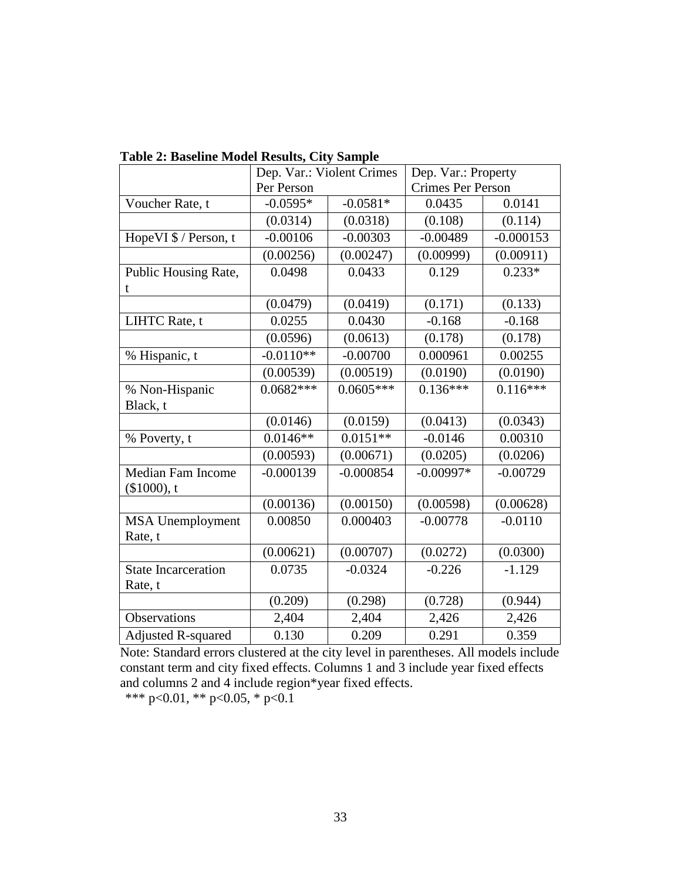|                            | Dep. Var.: Violent Crimes |             | Dep. Var.: Property      |             |
|----------------------------|---------------------------|-------------|--------------------------|-------------|
|                            | Per Person                |             | <b>Crimes Per Person</b> |             |
| Voucher Rate, t            | $-0.0595*$                | $-0.0581*$  | 0.0435                   | 0.0141      |
|                            | (0.0314)                  | (0.0318)    | (0.108)                  | (0.114)     |
| Hope VI \$ / Person, t     | $-0.00106$                | $-0.00303$  | $-0.00489$               | $-0.000153$ |
|                            | (0.00256)                 | (0.00247)   | (0.00999)                | (0.00911)   |
| Public Housing Rate,       | 0.0498                    | 0.0433      | 0.129                    | $0.233*$    |
| t                          |                           |             |                          |             |
|                            | (0.0479)                  | (0.0419)    | (0.171)                  | (0.133)     |
| LIHTC Rate, t              | 0.0255                    | 0.0430      | $-0.168$                 | $-0.168$    |
|                            | (0.0596)                  | (0.0613)    | (0.178)                  | (0.178)     |
| % Hispanic, t              | $-0.0110**$               | $-0.00700$  | 0.000961                 | 0.00255     |
|                            | (0.00539)                 | (0.00519)   | (0.0190)                 | (0.0190)    |
| % Non-Hispanic             | $0.0682***$               | $0.0605***$ | $0.136***$               | $0.116***$  |
| Black, t                   |                           |             |                          |             |
|                            | (0.0146)                  | (0.0159)    | (0.0413)                 | (0.0343)    |
| % Poverty, t               | $0.0146**$                | $0.0151**$  | $-0.0146$                | 0.00310     |
|                            | (0.00593)                 | (0.00671)   | (0.0205)                 | (0.0206)    |
| <b>Median Fam Income</b>   | $-0.000139$               | $-0.000854$ | $-0.00997*$              | $-0.00729$  |
| $($1000)$ , t              |                           |             |                          |             |
|                            | (0.00136)                 | (0.00150)   | (0.00598)                | (0.00628)   |
| <b>MSA Unemployment</b>    | 0.00850                   | 0.000403    | $-0.00778$               | $-0.0110$   |
| Rate, t                    |                           |             |                          |             |
|                            | (0.00621)                 | (0.00707)   | (0.0272)                 | (0.0300)    |
| <b>State Incarceration</b> | 0.0735                    | $-0.0324$   | $-0.226$                 | $-1.129$    |
| Rate, t                    |                           |             |                          |             |
|                            | (0.209)                   | (0.298)     | (0.728)                  | (0.944)     |
| Observations               | 2,404                     | 2,404       | 2,426                    | 2,426       |
| <b>Adjusted R-squared</b>  | 0.130                     | 0.209       | 0.291                    | 0.359       |

**Table 2: Baseline Model Results, City Sample**

Note: Standard errors clustered at the city level in parentheses. All models include constant term and city fixed effects. Columns 1 and 3 include year fixed effects and columns 2 and 4 include region\*year fixed effects.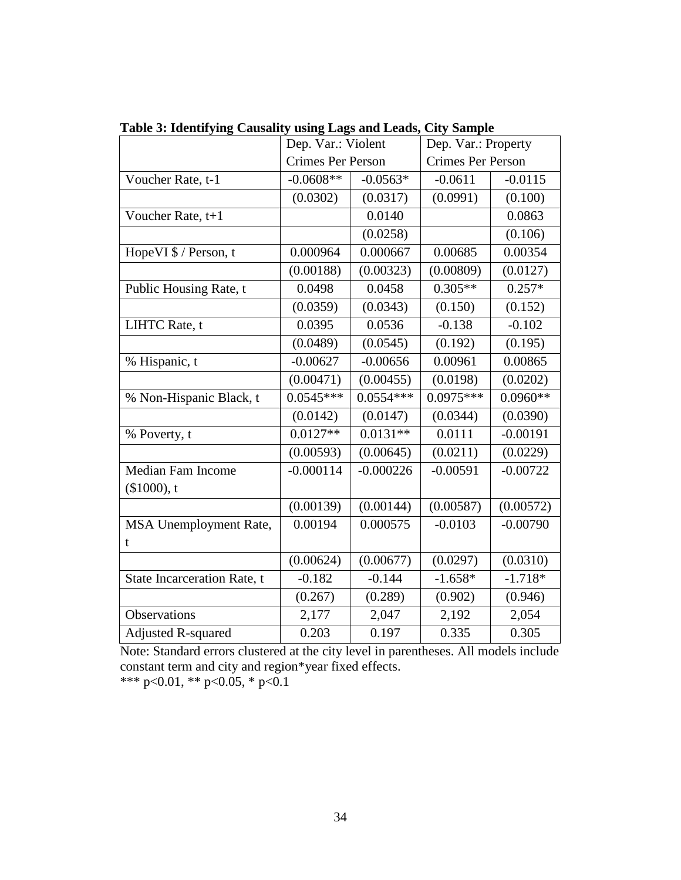|                                    | Dep. Var.: Violent       |             | Dep. Var.: Property      |            |
|------------------------------------|--------------------------|-------------|--------------------------|------------|
|                                    | <b>Crimes Per Person</b> |             | <b>Crimes Per Person</b> |            |
| Voucher Rate, t-1                  | $-0.0608**$              | $-0.0563*$  | $-0.0611$                | $-0.0115$  |
|                                    | (0.0302)                 | (0.0317)    | (0.0991)                 | (0.100)    |
| Voucher Rate, t+1                  |                          | 0.0140      |                          | 0.0863     |
|                                    |                          | (0.0258)    |                          | (0.106)    |
| HopeVI \$ / Person, t              | 0.000964                 | 0.000667    | 0.00685                  | 0.00354    |
|                                    | (0.00188)                | (0.00323)   | (0.00809)                | (0.0127)   |
| Public Housing Rate, t             | 0.0498                   | 0.0458      | $0.305**$                | $0.257*$   |
|                                    | (0.0359)                 | (0.0343)    | (0.150)                  | (0.152)    |
| LIHTC Rate, t                      | 0.0395                   | 0.0536      | $-0.138$                 | $-0.102$   |
|                                    | (0.0489)                 | (0.0545)    | (0.192)                  | (0.195)    |
| % Hispanic, t                      | $-0.00627$               | $-0.00656$  | 0.00961                  | 0.00865    |
|                                    | (0.00471)                | (0.00455)   | (0.0198)                 | (0.0202)   |
| % Non-Hispanic Black, t            | $0.0545***$              | $0.0554***$ | $0.0975***$              | $0.0960**$ |
|                                    | (0.0142)                 | (0.0147)    | (0.0344)                 | (0.0390)   |
| % Poverty, t                       | $0.0127**$               | $0.0131**$  | 0.0111                   | $-0.00191$ |
|                                    | (0.00593)                | (0.00645)   | (0.0211)                 | (0.0229)   |
| <b>Median Fam Income</b>           | $-0.000114$              | $-0.000226$ | $-0.00591$               | $-0.00722$ |
| (\$1000), t                        |                          |             |                          |            |
|                                    | (0.00139)                | (0.00144)   | (0.00587)                | (0.00572)  |
| MSA Unemployment Rate,             | 0.00194                  | 0.000575    | $-0.0103$                | $-0.00790$ |
| t                                  |                          |             |                          |            |
|                                    | (0.00624)                | (0.00677)   | (0.0297)                 | (0.0310)   |
| <b>State Incarceration Rate, t</b> | $-0.182$                 | $-0.144$    | $-1.658*$                | $-1.718*$  |
|                                    | (0.267)                  | (0.289)     | (0.902)                  | (0.946)    |
| Observations                       | 2,177                    | 2,047       | 2,192                    | 2,054      |
| <b>Adjusted R-squared</b>          | 0.203                    | 0.197       | 0.335                    | 0.305      |

**Table 3: Identifying Causality using Lags and Leads, City Sample**

Note: Standard errors clustered at the city level in parentheses. All models include constant term and city and region\*year fixed effects. \*\*\* p<0.01, \*\* p<0.05, \* p<0.1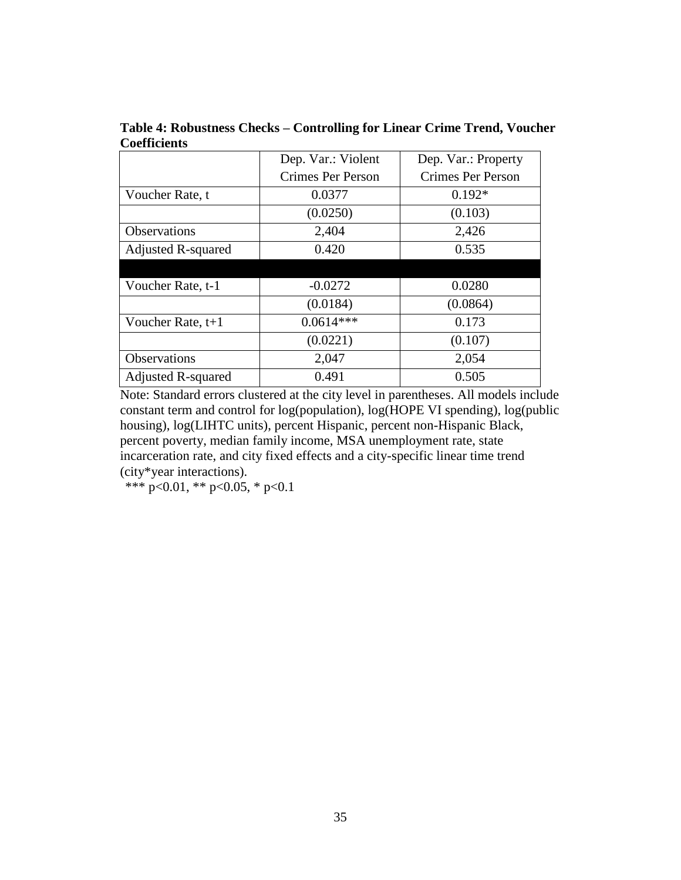|                           | Dep. Var.: Violent<br>Dep. Var.: Property |                          |
|---------------------------|-------------------------------------------|--------------------------|
|                           | Crimes Per Person                         | <b>Crimes Per Person</b> |
| Voucher Rate, t           | 0.0377                                    | $0.192*$                 |
|                           | (0.0250)                                  | (0.103)                  |
| <b>Observations</b>       | 2,404                                     | 2,426                    |
| <b>Adjusted R-squared</b> | 0.420                                     | 0.535                    |
|                           |                                           |                          |
| Voucher Rate, t-1         | $-0.0272$                                 | 0.0280                   |
|                           | (0.0184)                                  | (0.0864)                 |
| Voucher Rate, $t+1$       | $0.0614***$                               | 0.173                    |
|                           | (0.0221)                                  | (0.107)                  |
| Observations              | 2,047                                     | 2,054                    |
| <b>Adjusted R-squared</b> | 0.491                                     | 0.505                    |

**Table 4: Robustness Checks – Controlling for Linear Crime Trend, Voucher Coefficients** 

Note: Standard errors clustered at the city level in parentheses. All models include constant term and control for log(population), log(HOPE VI spending), log(public housing), log(LIHTC units), percent Hispanic, percent non-Hispanic Black, percent poverty, median family income, MSA unemployment rate, state incarceration rate, and city fixed effects and a city-specific linear time trend (city\*year interactions).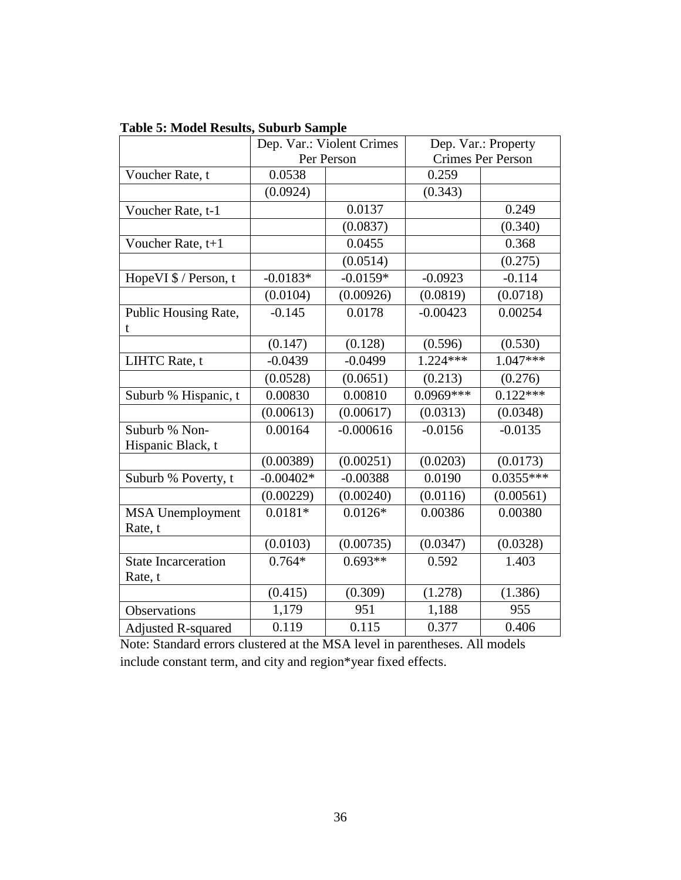|                                       | Dep. Var.: Violent Crimes |             | Dep. Var.: Property      |             |  |
|---------------------------------------|---------------------------|-------------|--------------------------|-------------|--|
|                                       | Per Person                |             | <b>Crimes Per Person</b> |             |  |
| Voucher Rate, t                       | 0.0538                    |             | 0.259                    |             |  |
|                                       | (0.0924)                  |             | (0.343)                  |             |  |
| Voucher Rate, t-1                     |                           | 0.0137      |                          | 0.249       |  |
|                                       |                           | (0.0837)    |                          | (0.340)     |  |
| Voucher Rate, t+1                     |                           | 0.0455      |                          | 0.368       |  |
|                                       |                           | (0.0514)    |                          | (0.275)     |  |
| Hope VI \$ / Person, t                | $-0.0183*$                | $-0.0159*$  | $-0.0923$                | $-0.114$    |  |
|                                       | (0.0104)                  | (0.00926)   | (0.0819)                 | (0.0718)    |  |
| Public Housing Rate,                  | $-0.145$                  | 0.0178      | $-0.00423$               | 0.00254     |  |
| t                                     |                           |             |                          |             |  |
|                                       | (0.147)                   | (0.128)     | (0.596)                  | (0.530)     |  |
| LIHTC Rate, t                         | $-0.0439$                 | $-0.0499$   | 1.224***                 | $1.047***$  |  |
|                                       | (0.0528)                  | (0.0651)    | (0.213)                  | (0.276)     |  |
| Suburb % Hispanic, t                  | 0.00830                   | 0.00810     | $0.0969***$              | $0.122***$  |  |
|                                       | (0.00613)                 | (0.00617)   | (0.0313)                 | (0.0348)    |  |
| Suburb % Non-                         | 0.00164                   | $-0.000616$ | $-0.0156$                | $-0.0135$   |  |
| Hispanic Black, t                     |                           |             |                          |             |  |
|                                       | (0.00389)                 | (0.00251)   | (0.0203)                 | (0.0173)    |  |
| Suburb % Poverty, t                   | $-0.00402*$               | $-0.00388$  | 0.0190                   | $0.0355***$ |  |
|                                       | (0.00229)                 | (0.00240)   | (0.0116)                 | (0.00561)   |  |
| <b>MSA</b> Unemployment               | $0.0181*$                 | $0.0126*$   | 0.00386                  | 0.00380     |  |
| Rate, t                               |                           |             |                          |             |  |
|                                       | (0.0103)                  | (0.00735)   | (0.0347)                 | (0.0328)    |  |
| <b>State Incarceration</b><br>Rate, t | $0.764*$                  | $0.693**$   | 0.592                    | 1.403       |  |
|                                       | (0.415)                   | (0.309)     | (1.278)                  | (1.386)     |  |
| <b>Observations</b>                   | 1,179                     | 951         | 1,188                    | 955         |  |
| <b>Adjusted R-squared</b>             | 0.119                     | 0.115       | 0.377                    | 0.406       |  |

Note: Standard errors clustered at the MSA level in parentheses. All models include constant term, and city and region\*year fixed effects.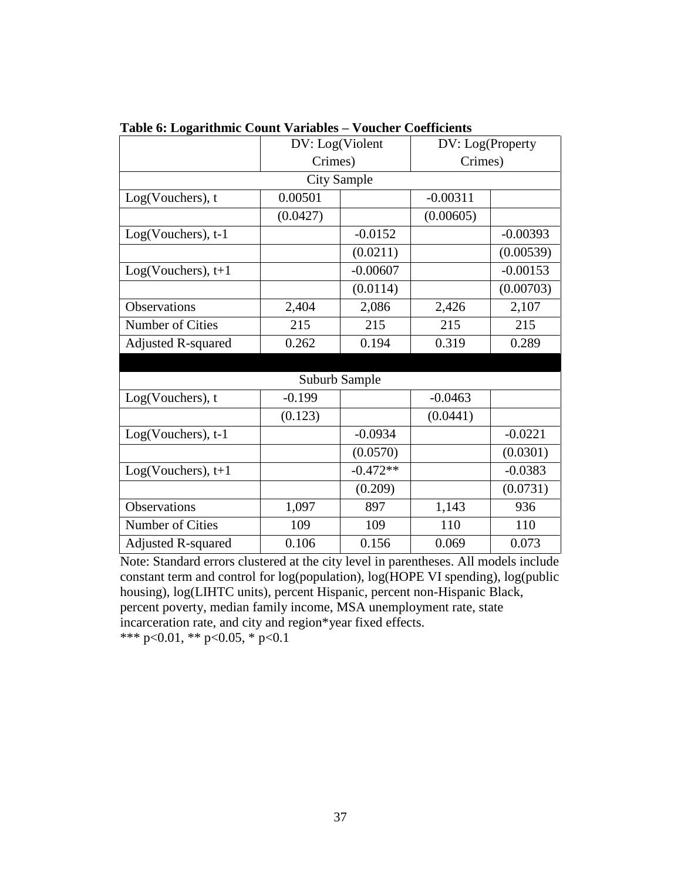|                           | DV: Log(Violent |                    | DV: Log(Property |            |
|---------------------------|-----------------|--------------------|------------------|------------|
|                           | Crimes)         |                    | Crimes)          |            |
|                           |                 | <b>City Sample</b> |                  |            |
| Log(Vouchers), t          | 0.00501         |                    | $-0.00311$       |            |
|                           | (0.0427)        |                    | (0.00605)        |            |
| Log(Vouchers), t-1        |                 | $-0.0152$          |                  | $-0.00393$ |
|                           |                 | (0.0211)           |                  | (0.00539)  |
| $Log(Vouchers)$ , t+1     |                 | $-0.00607$         |                  | $-0.00153$ |
|                           |                 | (0.0114)           |                  | (0.00703)  |
| Observations              | 2,404           | 2,086              | 2,426            | 2,107      |
| Number of Cities          | 215             | 215                | 215              | 215        |
| <b>Adjusted R-squared</b> | 0.262           | 0.194              | 0.319            | 0.289      |
|                           |                 |                    |                  |            |
|                           |                 | Suburb Sample      |                  |            |
| Log(Vouchers), t          | $-0.199$        |                    | $-0.0463$        |            |
|                           | (0.123)         |                    | (0.0441)         |            |
| Log(Vouchers), t-1        |                 | $-0.0934$          |                  | $-0.0221$  |
|                           |                 | (0.0570)           |                  | (0.0301)   |
| $Log(Vouchers)$ , t+1     |                 | $-0.472**$         |                  | $-0.0383$  |
|                           |                 | (0.209)            |                  | (0.0731)   |
| Observations              | 1,097           | 897                | 1,143            | 936        |
| Number of Cities          | 109             | 109                | 110              | 110        |
| <b>Adjusted R-squared</b> | 0.106           | 0.156              | 0.069            | 0.073      |

|  |  |  | Table 6: Logarithmic Count Variables - Voucher Coefficients |
|--|--|--|-------------------------------------------------------------|
|  |  |  |                                                             |

Note: Standard errors clustered at the city level in parentheses. All models include constant term and control for log(population), log(HOPE VI spending), log(public housing), log(LIHTC units), percent Hispanic, percent non-Hispanic Black, percent poverty, median family income, MSA unemployment rate, state incarceration rate, and city and region\*year fixed effects.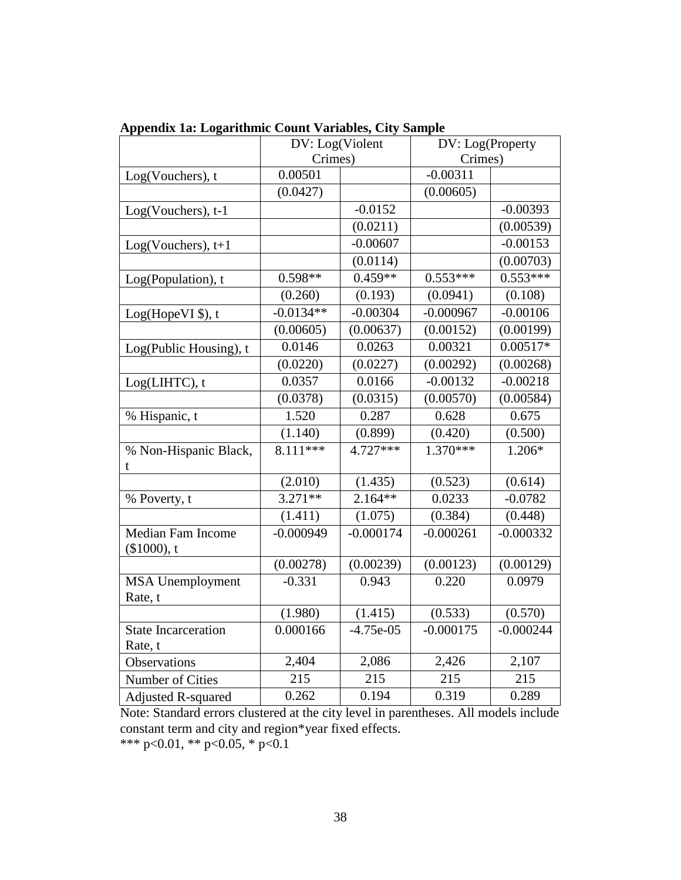|                                       | DV: Log(Violent |             | DV: Log(Property |             |
|---------------------------------------|-----------------|-------------|------------------|-------------|
|                                       | Crimes)         |             | Crimes)          |             |
| Log(Vouchers), t                      | 0.00501         |             | $-0.00311$       |             |
|                                       | (0.0427)        |             | (0.00605)        |             |
| Log(Vouchers), t-1                    |                 | $-0.0152$   |                  | $-0.00393$  |
|                                       |                 | (0.0211)    |                  | (0.00539)   |
| $Log(Vouchers)$ , t+1                 |                 | $-0.00607$  |                  | $-0.00153$  |
|                                       |                 | (0.0114)    |                  | (0.00703)   |
| Log(Population), t                    | $0.598**$       | $0.459**$   | $0.553***$       | $0.553***$  |
|                                       | (0.260)         | (0.193)     | (0.0941)         | (0.108)     |
| Log(HopeVI \$), t                     | $-0.0134**$     | $-0.00304$  | $-0.000967$      | $-0.00106$  |
|                                       | (0.00605)       | (0.00637)   | (0.00152)        | (0.00199)   |
| Log(Public Housing), t                | 0.0146          | 0.0263      | 0.00321          | $0.00517*$  |
|                                       | (0.0220)        | (0.0227)    | (0.00292)        | (0.00268)   |
| Log(LIHTC), t                         | 0.0357          | 0.0166      | $-0.00132$       | $-0.00218$  |
|                                       | (0.0378)        | (0.0315)    | (0.00570)        | (0.00584)   |
| % Hispanic, t                         | 1.520           | 0.287       | 0.628            | 0.675       |
|                                       | (1.140)         | (0.899)     | (0.420)          | (0.500)     |
| % Non-Hispanic Black,<br>t            | $8.111***$      | $4.727***$  | $1.370***$       | 1.206*      |
|                                       | (2.010)         | (1.435)     | (0.523)          | (0.614)     |
| % Poverty, t                          | $3.271**$       | $2.164**$   | 0.0233           | $-0.0782$   |
|                                       | (1.411)         | (1.075)     | (0.384)          | (0.448)     |
| Median Fam Income<br>(\$1000), t      | $-0.000949$     | $-0.000174$ | $-0.000261$      | $-0.000332$ |
|                                       | (0.00278)       | (0.00239)   | (0.00123)        | (0.00129)   |
| <b>MSA</b> Unemployment<br>Rate, t    | $-0.331$        | 0.943       | 0.220            | 0.0979      |
|                                       | (1.980)         | (1.415)     | (0.533)          | (0.570)     |
| <b>State Incarceration</b><br>Rate, t | 0.000166        | $-4.75e-05$ | $-0.000175$      | $-0.000244$ |
| Observations                          | 2,404           | 2,086       | 2,426            | 2,107       |
| Number of Cities                      | 215             | 215         | 215              | 215         |
| <b>Adjusted R-squared</b>             | 0.262           | 0.194       | 0.319            | 0.289       |

**Appendix 1a: Logarithmic Count Variables, City Sample**

Note: Standard errors clustered at the city level in parentheses. All models include constant term and city and region\*year fixed effects.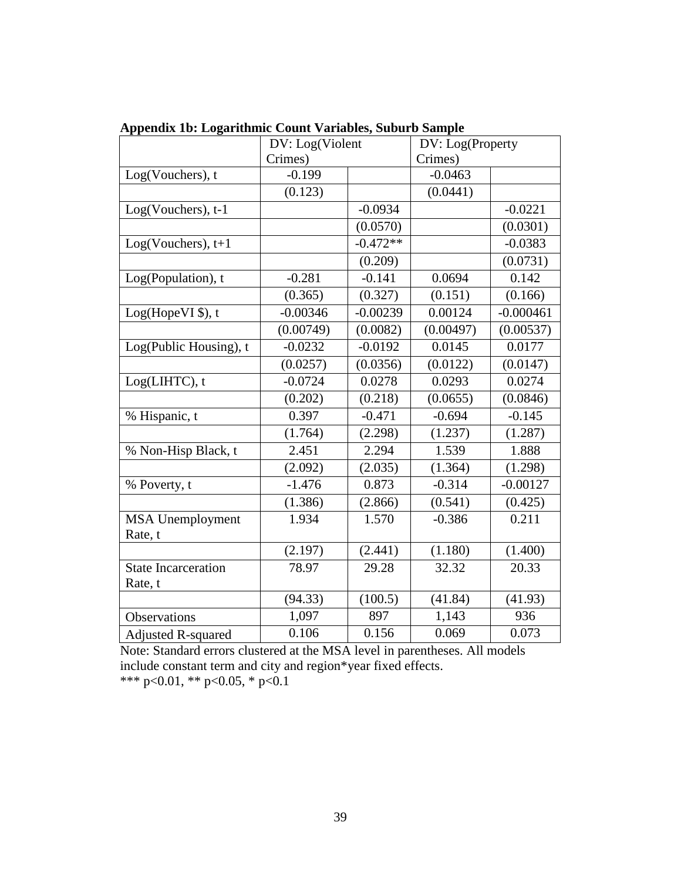|                                    | DV: Log(Violent |            | DV: Log(Property |             |  |
|------------------------------------|-----------------|------------|------------------|-------------|--|
|                                    | Crimes)         |            | Crimes)          |             |  |
| Log(Vouchers), t                   | $-0.199$        |            | $-0.0463$        |             |  |
|                                    | (0.123)         |            | (0.0441)         |             |  |
| Log(Vouchers), t-1                 |                 | $-0.0934$  |                  | $-0.0221$   |  |
|                                    |                 | (0.0570)   |                  | (0.0301)    |  |
| $Log(Vouchers)$ , t+1              |                 | $-0.472**$ |                  | $-0.0383$   |  |
|                                    |                 | (0.209)    |                  | (0.0731)    |  |
| Log(Population), t                 | $-0.281$        | $-0.141$   | 0.0694           | 0.142       |  |
|                                    | (0.365)         | (0.327)    | (0.151)          | (0.166)     |  |
| Log(HopeVI \$), t                  | $-0.00346$      | $-0.00239$ | 0.00124          | $-0.000461$ |  |
|                                    | (0.00749)       | (0.0082)   | (0.00497)        | (0.00537)   |  |
| Log(Public Housing), t             | $-0.0232$       | $-0.0192$  | 0.0145           | 0.0177      |  |
|                                    | (0.0257)        | (0.0356)   | (0.0122)         | (0.0147)    |  |
| Log(LIHTC), t                      | $-0.0724$       | 0.0278     | 0.0293           | 0.0274      |  |
|                                    | (0.202)         | (0.218)    | (0.0655)         | (0.0846)    |  |
| % Hispanic, t                      | 0.397           | $-0.471$   | $-0.694$         | $-0.145$    |  |
|                                    | (1.764)         | (2.298)    | (1.237)          | (1.287)     |  |
| % Non-Hisp Black, t                | 2.451           | 2.294      | 1.539            | 1.888       |  |
|                                    | (2.092)         | (2.035)    | (1.364)          | (1.298)     |  |
| % Poverty, t                       | $-1.476$        | 0.873      | $-0.314$         | $-0.00127$  |  |
|                                    | (1.386)         | (2.866)    | (0.541)          | (0.425)     |  |
| <b>MSA</b> Unemployment<br>Rate, t | 1.934           | 1.570      | $-0.386$         | 0.211       |  |
|                                    | (2.197)         | (2.441)    | (1.180)          | (1.400)     |  |
| <b>State Incarceration</b>         | 78.97           | 29.28      | 32.32            | 20.33       |  |
| Rate, t                            |                 |            |                  |             |  |
|                                    | (94.33)         | (100.5)    | (41.84)          | (41.93)     |  |
| <b>Observations</b>                | 1,097           | 897        | 1,143            | 936         |  |
| <b>Adjusted R-squared</b>          | 0.106           | 0.156      | 0.069            | 0.073       |  |

**Appendix 1b: Logarithmic Count Variables, Suburb Sample**

Note: Standard errors clustered at the MSA level in parentheses. All models include constant term and city and region\*year fixed effects.